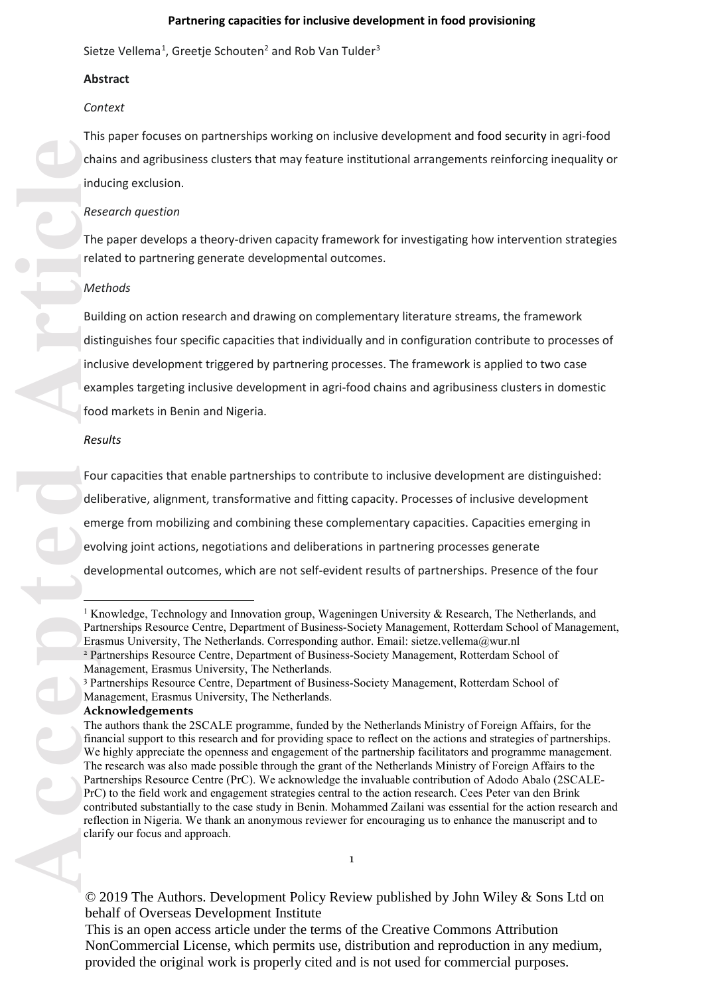# **Partnering capacities for inclusive development in food provisioning**

Sietze Vellema<sup>1</sup>, Greetje Schouten<sup>2</sup> and Rob Van Tulder<sup>3</sup>

#### **Abstract**

#### *Context*

This paper focuses on partnerships working on inclusive development and food security in agri -food chains and agribusiness clusters that may feature institutional arrangements reinforcing inequality or inducing exclusion.

# *Research question*

The paper develops a theory-driven capacity framework for investigating how intervention strategies related to partnering generate developmental outcomes.

#### *Methods*

Building on action research and drawing on complementary literature streams, the framework distinguishes four specific capacities that individually and in configuration contribute to processes of inclusive development triggered by partnering processes. The framework is applied to two case examples targeting inclusive development in agri -food chains and agribusiness clusters in domestic food markets in Benin and Nigeria.

### *Results*

Four capacities that enable partnerships to contribute to inclusive development are distinguished: deliberative, alignment, transformative and fitting capacity. Processes of inclusive development emerge from mobilizing and combining these complementary capacities . Capacities emerging in evolving joint actions, negotiations and deliberations in partnering processes generate developmental outcomes, which are not self-evident results of partnerships. Presence of the four

© 2019 The Authors. Development Policy Review published by John Wiley & Sons Ltd on behalf of Overseas Development Institute

This is an open access article under the terms of the Creative Commons Attribution NonCommercial License, which permits use, distribution and reproduction in any medium, provided the original work is properly cited and is not used for commercial purposes.

<sup>&</sup>lt;sup>1</sup> Knowledge, Technology and Innovation group, Wageningen University & Research, The Netherlands, and Partnerships Resource Centre, Department of Business -Society Management, Rotterdam School of Management, Erasmus University, The Netherlands. Corresponding author. Email: sietze.vellema@wur.nl <sup>2</sup> Partnerships Resource Centre, Department of Business-Society Management, Rotterdam School of

Management, Erasmus University, The Netherlands . <sup>3</sup> Partnerships Resource Centre, Department of Business -Society Management, Rotterdam School of Management, Erasmus University, The Netherlands.

**Acknowledgements**

The authors thank the 2SCALE programme, funded by the Netherlands Ministry of Foreign Affairs, for the financial support to this research and for providing space to reflect on the actions and strategies of partnerships. We highly appreciate the openness and engagement of the partnership facilitators and programme management. The research was also made possible through the grant of the Netherlands Ministry of Foreign Affairs to the Partnerships Resource Centre (PrC). We acknowledge the invaluable contribution of Adodo Abalo (2SCALE - PrC) to the field work and engagement strategies central to the action research. Cees Peter van den Brink contributed substantially to the case study in Benin. Mohammed Zailani was essential for the action research and reflection in Nigeria. We thank an anonymous reviewer for encouraging us to enhance the manuscript and to clarify our focus and approach.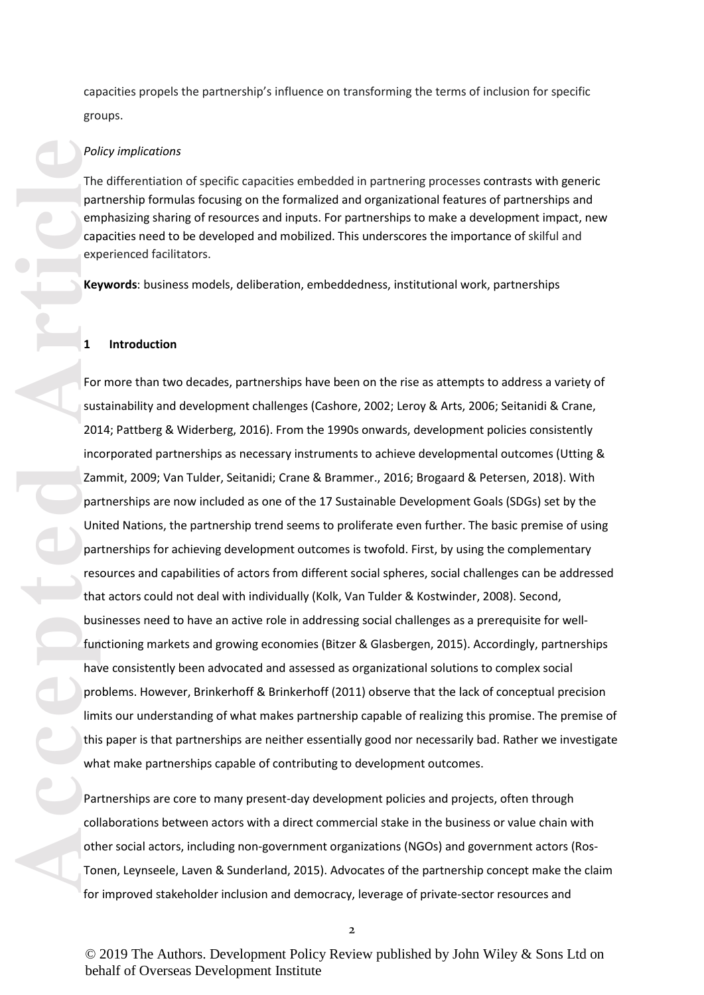capacities propels the partnership's influence on transforming the terms of inclusion for specific groups.

### *Policy implications*

The differentiation of specific capacities embedded in partnering processes contrasts with generic partnership formulas focusing on the formalized and organizational features of partnerships and emphasizing sharing of resources and inputs. For partnerships to make a development impact, new capacities need to be developed and mobilized. This underscores the importance of skilful and experienced facilitators.

**Keywords**: business models, deliberation, embeddedness, institutional work, partnerships

### **1 Introduction**

For more than two decades, partnerships have been on the rise as attempts to address a variety of sustainability and development challenges (Cashore, 2002; Leroy & Arts, 2006; Seitanidi & Crane, 2014; Pattberg & Widerberg, 2016). From the 1990s onwards, development policies consistently incorporated partnerships as necessary instruments to achieve developmental outcomes (Utting & Zammit, 2009; Van Tulder, Seitanidi; Crane & Brammer., 2016; Brogaard & Petersen, 2018). With partnerships are now included as one of the 17 Sustainable Development Goals (SDGs) set by the United Nations, the partnership trend seems to proliferate even further. The basic premise of using partnerships for achieving development outcomes is twofold. First, by using the complementary resources and capabilities of actors from different social spheres, social challenges can be addressed that actors could not deal with individually (Kolk, Van Tulder & Kostwinder, 2008). Second, businesses need to have an active role in addressing social challenges as a prerequisite for wellfunctioning markets and growing economies (Bitzer & Glasbergen, 2015). Accordingly, partnerships have consistently been advocated and assessed as organizational solutions to complex social problems. However, Brinkerhoff & Brinkerhoff (2011) observe that the lack of conceptual precision limits our understanding of what makes partnership capable of realizing this promise. The premise of this paper is that partnerships are neither essentially good nor necessarily bad. Rather we investigate what make partnerships capable of contributing to development outcomes.

Partnerships are core to many present-day development policies and projects, often through collaborations between actors with a direct commercial stake in the business or value chain with other social actors, including non-government organizations (NGOs) and government actors (Ros-Tonen, Leynseele, Laven & Sunderland, 2015). Advocates of the partnership concept make the claim for improved stakeholder inclusion and democracy, leverage of private-sector resources and

© 2019 The Authors. Development Policy Review published by John Wiley & Sons Ltd on behalf of Overseas Development Institute

 $\mathcal{L}$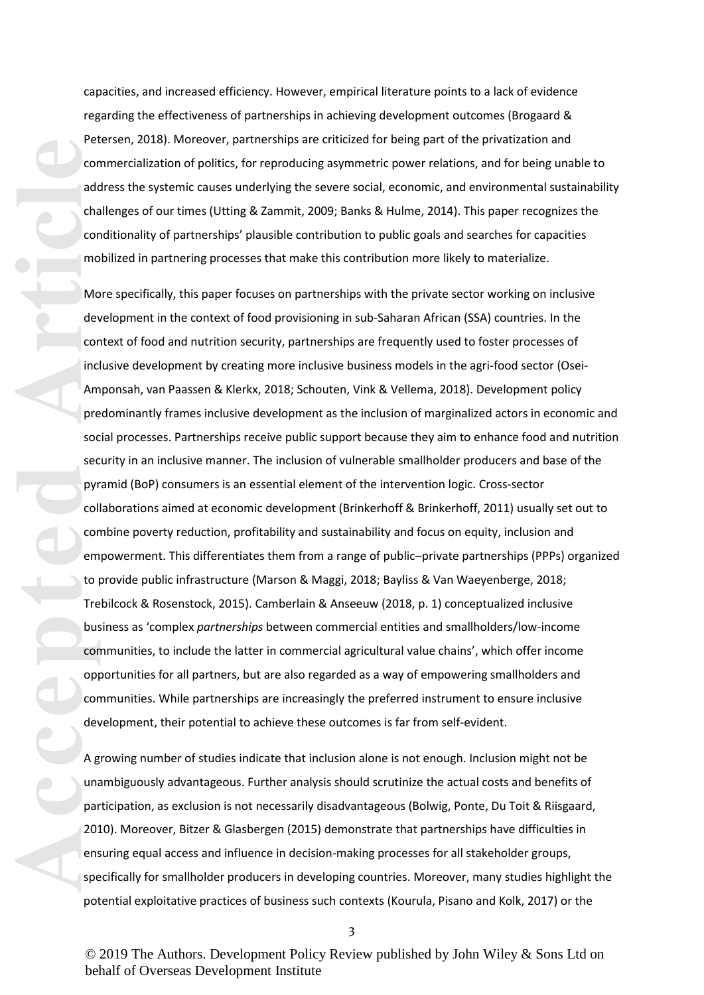capacities, and increased efficiency. However, empirical literature points to a lack of evidence regarding the effectiveness of partnerships in achieving development outcomes (Brogaard & Petersen, 2018). Moreover, partnerships are criticized for being part of the privatization and commercialization of politics, for reproducing asymmetric power relations, and for being unable to address the systemic causes underlying the severe social, economic, and environmental sustainability challenges of our times (Utting & Zammit, 2009; Banks & Hulme, 2014). This paper recognizes the conditionality of partnerships' plausible contribution to public goals and searches for capacities mobilized in partnering processes that make this contribution more likely to materialize.

Free Correction and Charticle Correction and Charticle Correction and Charticle Correction and Charticle Correction and President Correction and Charticle Correction and Charticle Correction and Charticle Correction and Ch More specifically, this paper focuses on partnerships with the private sector working on inclusive development in the context of food provisioning in sub-Saharan African (SSA) countries. In the context of food and nutrition security, partnerships are frequently used to foster processes of inclusive development by creating more inclusive business models in the agri-food sector (Osei-Amponsah, van Paassen & Klerkx, 2018; Schouten, Vink & Vellema, 2018). Development policy predominantly frames inclusive development as the inclusion of marginalized actors in economic and social processes. Partnerships receive public support because they aim to enhance food and nutrition security in an inclusive manner. The inclusion of vulnerable smallholder producers and base of the pyramid (BoP) consumers is an essential element of the intervention logic. Cross-sector collaborations aimed at economic development (Brinkerhoff & Brinkerhoff, 2011) usually set out to combine poverty reduction, profitability and sustainability and focus on equity, inclusion and empowerment. This differentiates them from a range of public–private partnerships (PPPs) organized to provide public infrastructure (Marson & Maggi, 2018; Bayliss & Van Waeyenberge, 2018; Trebilcock & Rosenstock, 2015). Camberlain & Anseeuw (2018, p. 1) conceptualized inclusive business as 'complex *partnerships* between commercial entities and smallholders/low-income communities, to include the latter in commercial agricultural value chains', which offer income opportunities for all partners, but are also regarded as a way of empowering smallholders and communities. While partnerships are increasingly the preferred instrument to ensure inclusive development, their potential to achieve these outcomes is far from self-evident.

A growing number of studies indicate that inclusion alone is not enough. Inclusion might not be unambiguously advantageous. Further analysis should scrutinize the actual costs and benefits of participation, as exclusion is not necessarily disadvantageous (Bolwig, Ponte, Du Toit & Riisgaard, 2010). Moreover, Bitzer & Glasbergen (2015) demonstrate that partnerships have difficulties in ensuring equal access and influence in decision-making processes for all stakeholder groups, specifically for smallholder producers in developing countries. Moreover, many studies highlight the potential exploitative practices of business such contexts (Kourula, Pisano and Kolk, 2017) or the

© 2019 The Authors. Development Policy Review published by John Wiley & Sons Ltd on behalf of Overseas Development Institute

3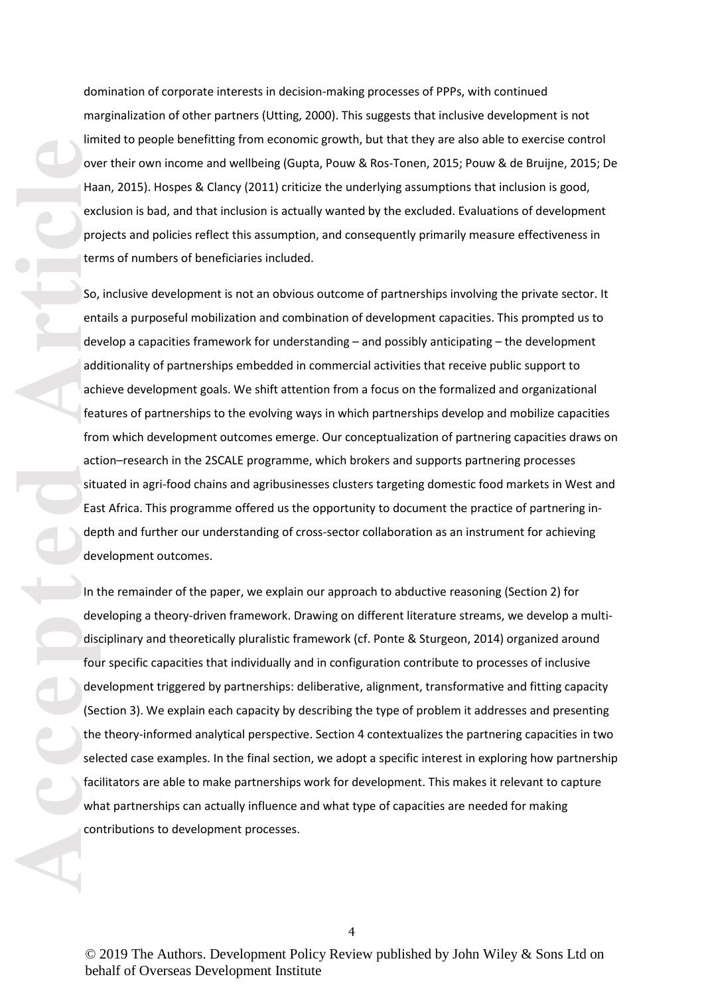domination of corporate interests in decision-making processes of PPPs, with continued marginalization of other partners (Utting, 2000). This suggests that inclusive development is not limited to people benefitting from economic growth, but that they are also able to exercise control over their own income and wellbeing (Gupta, Pouw & Ros-Tonen, 2015; Pouw & de Bruijne, 2015; De Haan, 2015). Hospes & Clancy (2011) criticize the underlying assumptions that inclusion is good, exclusion is bad, and that inclusion is actually wanted by the excluded. Evaluations of development projects and policies reflect this assumption, and consequently primarily measure effectiveness in terms of numbers of beneficiaries included.

So, inclusive development is not an obvious outcome of partnerships involving the private sector. It entails a purposeful mobilization and combination of development capacities. This prompted us to develop a capacities framework for understanding – and possibly anticipating – the development additionality of partnerships embedded in commercial activities that receive public support to achieve development goals. We shift attention from a focus on the formalized and organizational features of partnerships to the evolving ways in which partnerships develop and mobilize capacities from which development outcomes emerge. Our conceptualization of partnering capacities draws on action–research in the 2SCALE programme, which brokers and supports partnering processes situated in agri-food chains and agribusinesses clusters targeting domestic food markets in West and East Africa. This programme offered us the opportunity to document the practice of partnering indepth and further our understanding of cross-sector collaboration as an instrument for achieving development outcomes.

accepted **Articles Index**<br>
Article Book<br>
Article Book<br>
Article and a accepted<br>
Article and a strict Eas<br>
der developed<br>
Articles der developed<br>
Articles der developed<br>
Strict Eas<br>
der developed<br>
Strict Book<br>
Strict Strict In the remainder of the paper, we explain our approach to abductive reasoning (Section 2) for developing a theory-driven framework. Drawing on different literature streams, we develop a multidisciplinary and theoretically pluralistic framework (cf. Ponte & Sturgeon, 2014) organized around four specific capacities that individually and in configuration contribute to processes of inclusive development triggered by partnerships: deliberative, alignment, transformative and fitting capacity (Section 3). We explain each capacity by describing the type of problem it addresses and presenting the theory-informed analytical perspective. Section 4 contextualizes the partnering capacities in two selected case examples. In the final section, we adopt a specific interest in exploring how partnership facilitators are able to make partnerships work for development. This makes it relevant to capture what partnerships can actually influence and what type of capacities are needed for making contributions to development processes.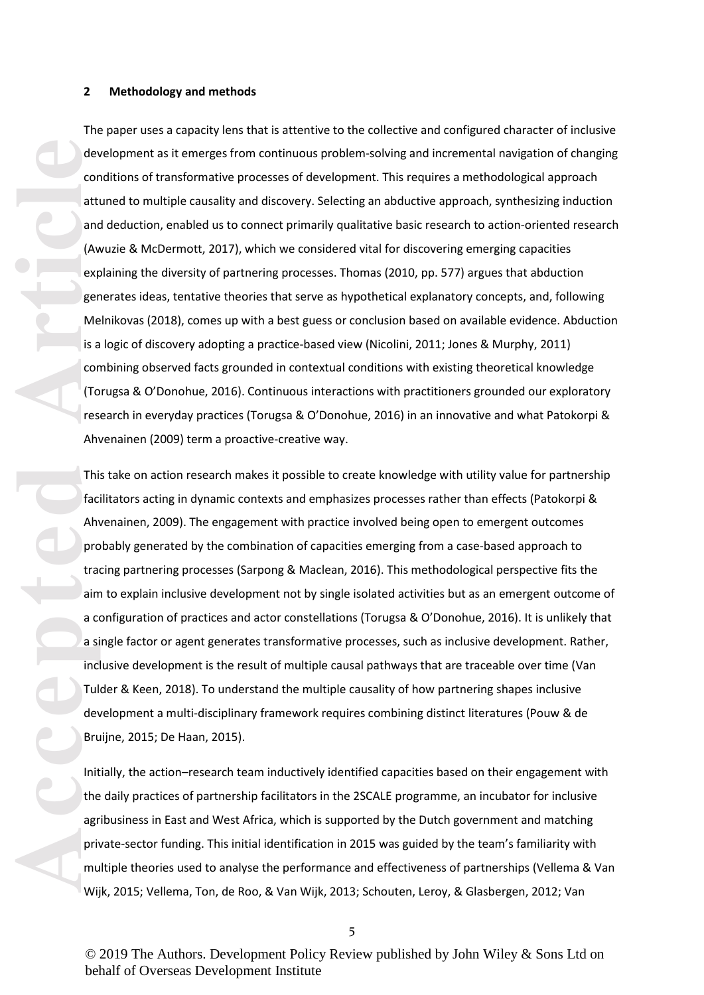### **2 Methodology and methods**

dev corrected and (Avexper Me is a corrected and Corrected and Corrected and Corrected and Corrected and Corrected and Corrected and Corrected and Corrected and Corrected and Corrected and Corrected and Corrected and Corre The paper uses a capacity lens that is attentive to the collective and configured character of inclusive development as it emerges from continuous problem-solving and incremental navigation of changing conditions of transformative processes of development. This requires a methodological approach attuned to multiple causality and discovery. Selecting an abductive approach, synthesizing induction and deduction, enabled us to connect primarily qualitative basic research to action-oriented research (Awuzie & McDermott, 2017), which we considered vital for discovering emerging capacities explaining the diversity of partnering processes. Thomas (2010, pp. 577) argues that abduction generates ideas, tentative theories that serve as hypothetical explanatory concepts, and, following Melnikovas (2018), comes up with a best guess or conclusion based on available evidence. Abduction is a logic of discovery adopting a practice-based view (Nicolini, 2011; Jones & Murphy, 2011) combining observed facts grounded in contextual conditions with existing theoretical knowledge (Torugsa & O'Donohue, 2016). Continuous interactions with practitioners grounded our exploratory research in everyday practices (Torugsa & O'Donohue, 2016) in an innovative and what Patokorpi & Ahvenainen (2009) term a proactive-creative way.

This take on action research makes it possible to create knowledge with utility value for partnership facilitators acting in dynamic contexts and emphasizes processes rather than effects (Patokorpi & Ahvenainen, 2009). The engagement with practice involved being open to emergent outcomes probably generated by the combination of capacities emerging from a case-based approach to tracing partnering processes (Sarpong & Maclean, 2016). This methodological perspective fits the aim to explain inclusive development not by single isolated activities but as an emergent outcome of a configuration of practices and actor constellations (Torugsa & O'Donohue, 2016). It is unlikely that a single factor or agent generates transformative processes, such as inclusive development. Rather, inclusive development is the result of multiple causal pathways that are traceable over time (Van Tulder & Keen, 2018). To understand the multiple causality of how partnering shapes inclusive development a multi-disciplinary framework requires combining distinct literatures (Pouw & de Bruijne, 2015; De Haan, 2015).

Initially, the action–research team inductively identified capacities based on their engagement with the daily practices of partnership facilitators in the 2SCALE programme, an incubator for inclusive agribusiness in East and West Africa, which is supported by the Dutch government and matching private-sector funding. This initial identification in 2015 was guided by the team's familiarity with multiple theories used to analyse the performance and effectiveness of partnerships (Vellema & Van Wijk, 2015; Vellema, Ton, de Roo, & Van Wijk, 2013; Schouten, Leroy, & Glasbergen, 2012; Van

5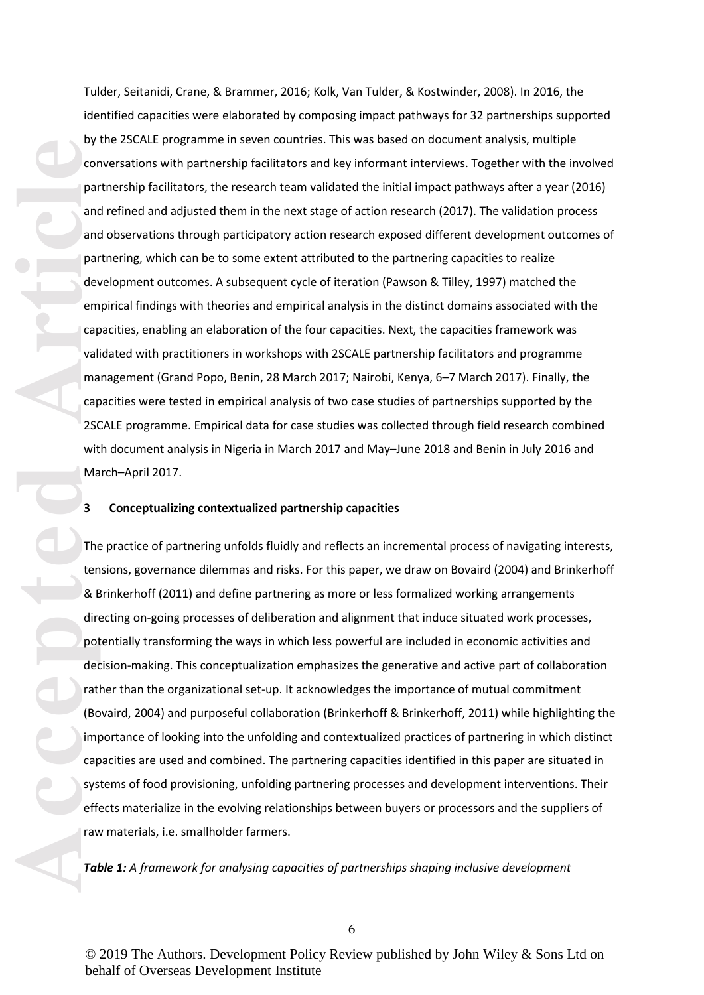Tulder, Seitanidi, Crane, & Brammer, 2016; Kolk, Van Tulder, & Kostwinder, 2008). In 2016, the identified capacities were elaborated by composing impact pathways for 32 partnerships supported by the 2SCALE programme in seven countries. This was based on document analysis, multiple conversations with partnership facilitators and key informant interviews. Together with the involved partnership facilitators, the research team validated the initial impact pathways after a year (2016) and refined and adjusted them in the next stage of action research (2017). The validation process and observations through participatory action research exposed different development outcomes of partnering, which can be to some extent attributed to the partnering capacities to realize development outcomes. A subsequent cycle of iteration (Pawson & Tilley, 1997) matched the empirical findings with theories and empirical analysis in the distinct domains associated with the capacities, enabling an elaboration of the four capacities. Next, the capacities framework was validated with practitioners in workshops with 2SCALE partnership facilitators and programme management (Grand Popo, Benin, 28 March 2017; Nairobi, Kenya, 6–7 March 2017). Finally, the capacities were tested in empirical analysis of two case studies of partnerships supported by the 2SCALE programme. Empirical data for case studies was collected through field research combined with document analysis in Nigeria in March 2017 and May–June 2018 and Benin in July 2016 and March–April 2017.

#### **3 Conceptualizing contextualized partnership capacities**

**Accept Solution**<br> **Article**<br> **Article**<br> **Article**<br> **Article**<br> **Article**<br> **Article**<br> **Article**<br> **Article**<br> **Article**<br> **Article**<br> **Article**<br> **Article**<br> **Article**<br> **Article**<br> **Article**<br> **Article**<br> **Article**<br> **Article**<br> **Arti** The practice of partnering unfolds fluidly and reflects an incremental process of navigating interests, tensions, governance dilemmas and risks. For this paper, we draw on Bovaird (2004) and Brinkerhoff & Brinkerhoff (2011) and define partnering as more or less formalized working arrangements directing on-going processes of deliberation and alignment that induce situated work processes, potentially transforming the ways in which less powerful are included in economic activities and decision-making. This conceptualization emphasizes the generative and active part of collaboration rather than the organizational set-up. It acknowledges the importance of mutual commitment (Bovaird, 2004) and purposeful collaboration (Brinkerhoff & Brinkerhoff, 2011) while highlighting the importance of looking into the unfolding and contextualized practices of partnering in which distinct capacities are used and combined. The partnering capacities identified in this paper are situated in systems of food provisioning, unfolding partnering processes and development interventions. Their effects materialize in the evolving relationships between buyers or processors and the suppliers of raw materials, i.e. smallholder farmers.

*Table 1: A framework for analysing capacities of partnerships shaping inclusive development*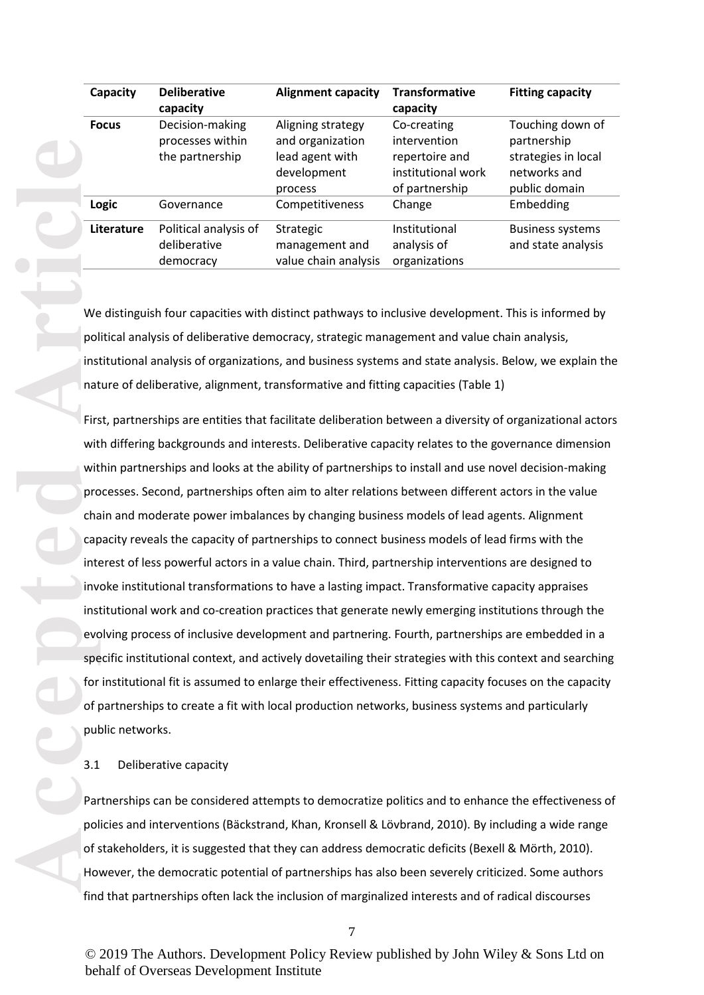| Capacity     | <b>Deliberative</b><br>capacity                        | <b>Alignment capacity</b>                                                          | <b>Transformative</b><br>capacity                                                     | <b>Fitting capacity</b>                                                                 |
|--------------|--------------------------------------------------------|------------------------------------------------------------------------------------|---------------------------------------------------------------------------------------|-----------------------------------------------------------------------------------------|
| <b>Focus</b> | Decision-making<br>processes within<br>the partnership | Aligning strategy<br>and organization<br>lead agent with<br>development<br>process | Co-creating<br>intervention<br>repertoire and<br>institutional work<br>of partnership | Touching down of<br>partnership<br>strategies in local<br>networks and<br>public domain |
| Logic        | Governance                                             | Competitiveness                                                                    | Change                                                                                | Embedding                                                                               |
| Literature   | Political analysis of<br>deliberative<br>democracy     | Strategic<br>management and<br>value chain analysis                                | Institutional<br>analysis of<br>organizations                                         | <b>Business systems</b><br>and state analysis                                           |

We distinguish four capacities with distinct pathways to inclusive development. This is informed by political analysis of deliberative democracy, strategic management and value chain analysis, institutional analysis of organizations, and business systems and state analysis. Below, we explain the nature of deliberative, alignment, transformative and fitting capacities (Table 1)

**Accepted Article**<br> **Article**<br> **Article**<br> **Article**<br> **Article**<br> **Article**<br> **Article**<br> **Article**<br> **Article**<br> **Article**<br> **Article**<br> **Article**<br> **Article**<br> **Article**<br> **Article**<br> **Article**<br> **Article**<br> **Article**<br> **Article**<br> **A** First, partnerships are entities that facilitate deliberation between a diversity of organizational actors with differing backgrounds and interests. Deliberative capacity relates to the governance dimension within partnerships and looks at the ability of partnerships to install and use novel decision-making processes. Second, partnerships often aim to alter relations between different actors in the value chain and moderate power imbalances by changing business models of lead agents. Alignment capacity reveals the capacity of partnerships to connect business models of lead firms with the interest of less powerful actors in a value chain. Third, partnership interventions are designed to invoke institutional transformations to have a lasting impact. Transformative capacity appraises institutional work and co-creation practices that generate newly emerging institutions through the evolving process of inclusive development and partnering. Fourth, partnerships are embedded in a specific institutional context, and actively dovetailing their strategies with this context and searching for institutional fit is assumed to enlarge their effectiveness. Fitting capacity focuses on the capacity of partnerships to create a fit with local production networks, business systems and particularly public networks.

3.1 Deliberative capacity

Partnerships can be considered attempts to democratize politics and to enhance the effectiveness of policies and interventions (Bäckstrand, Khan, Kronsell & Lövbrand, 2010). By including a wide range of stakeholders, it is suggested that they can address democratic deficits (Bexell & Mörth, 2010). However, the democratic potential of partnerships has also been severely criticized. Some authors find that partnerships often lack the inclusion of marginalized interests and of radical discourses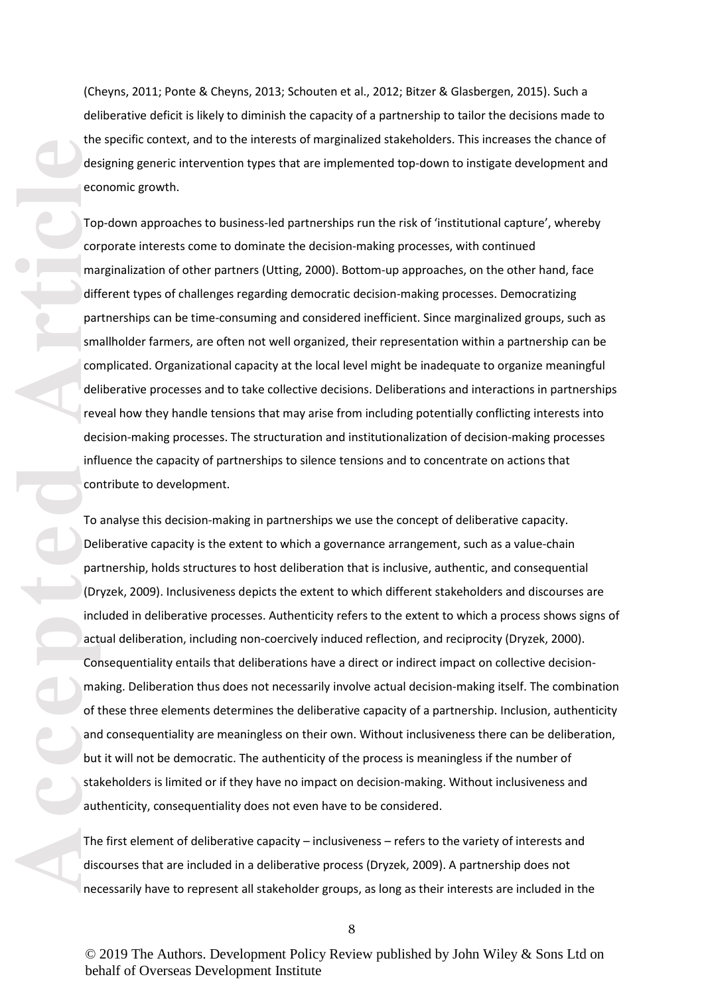(Cheyns, 2011; Ponte & Cheyns, 2013; Schouten et al., 2012; Bitzer & Glasbergen, 2015). Such a deliberative deficit is likely to diminish the capacity of a partnership to tailor the decisions made to the specific context, and to the interests of marginalized stakeholders. This increases the chance of designing generic intervention types that are implemented top-down to instigate development and economic growth.

Top-down approaches to business-led partnerships run the risk of 'institutional capture', whereby corporate interests come to dominate the decision-making processes, with continued marginalization of other partners (Utting, 2000). Bottom-up approaches, on the other hand, face different types of challenges regarding democratic decision-making processes. Democratizing partnerships can be time-consuming and considered inefficient. Since marginalized groups, such as smallholder farmers, are often not well organized, their representation within a partnership can be complicated. Organizational capacity at the local level might be inadequate to organize meaningful deliberative processes and to take collective decisions. Deliberations and interactions in partnerships reveal how they handle tensions that may arise from including potentially conflicting interests into decision-making processes. The structuration and institutionalization of decision-making processes influence the capacity of partnerships to silence tensions and to concentrate on actions that contribute to development.

Accepted and the desired and the distant and the distant and the distant and the distance of the distance of the distance of the distance of the distance of the distance of the distance of the distance of the distance of t To analyse this decision-making in partnerships we use the concept of deliberative capacity. Deliberative capacity is the extent to which a governance arrangement, such as a value-chain partnership, holds structures to host deliberation that is inclusive, authentic, and consequential (Dryzek, 2009). Inclusiveness depicts the extent to which different stakeholders and discourses are included in deliberative processes. Authenticity refers to the extent to which a process shows signs of actual deliberation, including non-coercively induced reflection, and reciprocity (Dryzek, 2000). Consequentiality entails that deliberations have a direct or indirect impact on collective decisionmaking. Deliberation thus does not necessarily involve actual decision-making itself. The combination of these three elements determines the deliberative capacity of a partnership. Inclusion, authenticity and consequentiality are meaningless on their own. Without inclusiveness there can be deliberation, but it will not be democratic. The authenticity of the process is meaningless if the number of stakeholders is limited or if they have no impact on decision-making. Without inclusiveness and authenticity, consequentiality does not even have to be considered.

The first element of deliberative capacity – inclusiveness – refers to the variety of interests and discourses that are included in a deliberative process (Dryzek, 2009). A partnership does not necessarily have to represent all stakeholder groups, as long as their interests are included in the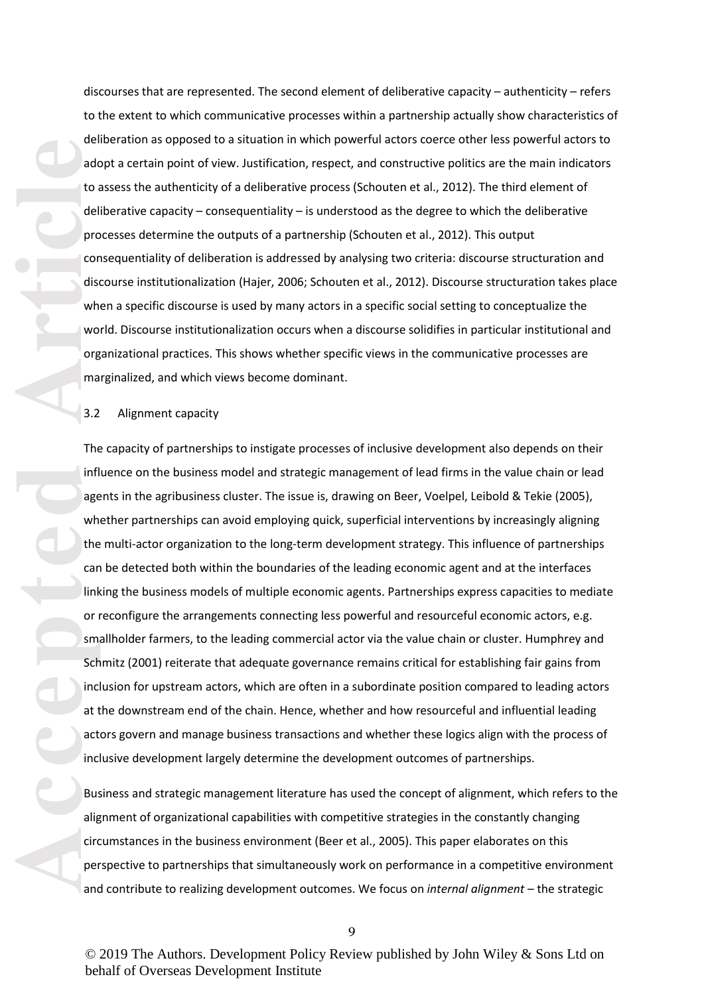discourses that are represented. The second element of deliberative capacity – authenticity – refers to the extent to which communicative processes within a partnership actually show characteristics of deliberation as opposed to a situation in which powerful actors coerce other less powerful actors to adopt a certain point of view. Justification, respect, and constructive politics are the main indicators to assess the authenticity of a deliberative process (Schouten et al., 2012). The third element of deliberative capacity – consequentiality – is understood as the degree to which the deliberative processes determine the outputs of a partnership (Schouten et al., 2012). This output consequentiality of deliberation is addressed by analysing two criteria: discourse structuration and discourse institutionalization (Hajer, 2006; Schouten et al., 2012). Discourse structuration takes place when a specific discourse is used by many actors in a specific social setting to conceptualize the world. Discourse institutionalization occurs when a discourse solidifies in particular institutional and organizational practices. This shows whether specific views in the communicative processes are marginalized, and which views become dominant.

# 3.2 Alignment capacity

**Accession**<br> **Accession**<br> **Accession**<br> **Accession**<br> **Accession**<br> **Accession**<br> **Accession**<br> **Accession**<br> **Accession**<br> **Article**<br> **Accession**<br> **Accession**<br> **Accession**<br> **Accession**<br> **Accession**<br> **Accession**<br> **Accession**<br> **Ac** The capacity of partnerships to instigate processes of inclusive development also depends on their influence on the business model and strategic management of lead firms in the value chain or lead agents in the agribusiness cluster. The issue is, drawing on Beer, Voelpel, Leibold & Tekie (2005), whether partnerships can avoid employing quick, superficial interventions by increasingly aligning the multi-actor organization to the long-term development strategy. This influence of partnerships can be detected both within the boundaries of the leading economic agent and at the interfaces linking the business models of multiple economic agents. Partnerships express capacities to mediate or reconfigure the arrangements connecting less powerful and resourceful economic actors, e.g. smallholder farmers, to the leading commercial actor via the value chain or cluster. Humphrey and Schmitz (2001) reiterate that adequate governance remains critical for establishing fair gains from inclusion for upstream actors, which are often in a subordinate position compared to leading actors at the downstream end of the chain. Hence, whether and how resourceful and influential leading actors govern and manage business transactions and whether these logics align with the process of inclusive development largely determine the development outcomes of partnerships.

Business and strategic management literature has used the concept of alignment, which refers to the alignment of organizational capabilities with competitive strategies in the constantly changing circumstances in the business environment (Beer et al., 2005). This paper elaborates on this perspective to partnerships that simultaneously work on performance in a competitive environment and contribute to realizing development outcomes. We focus on *internal alignment* – the strategic

9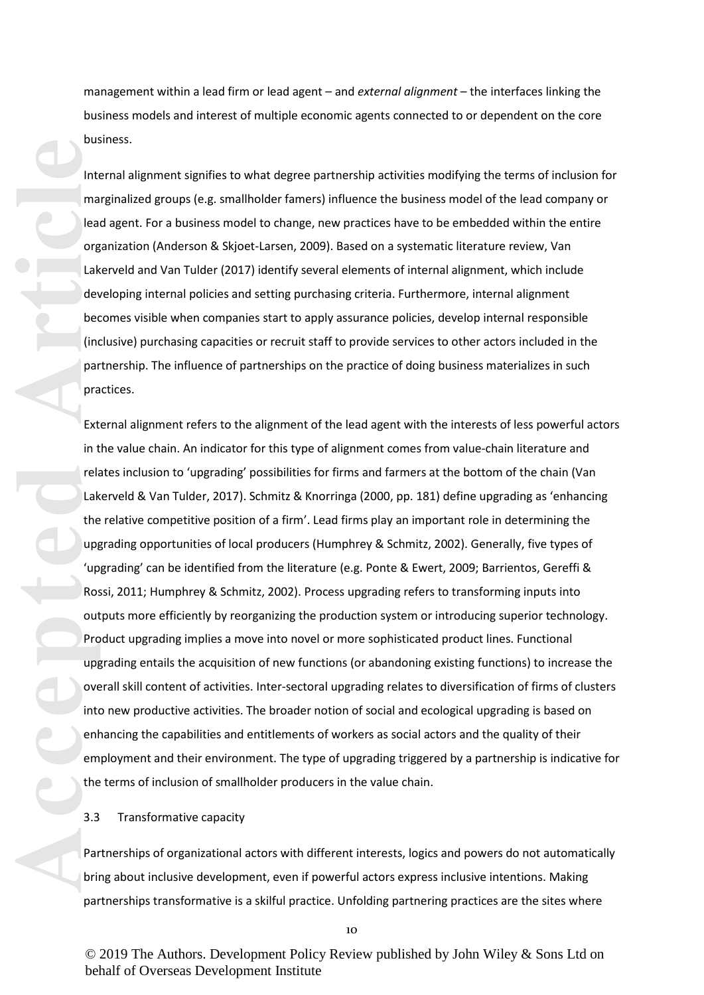management within a lead firm or lead agent – and *external alignment* – the interfaces linking the business models and interest of multiple economic agents connected to or dependent on the core business.

Internal alignment signifies to what degree partnership activities modifying the terms of inclusion for marginalized groups (e.g. smallholder famers) influence the business model of the lead company or lead agent. For a business model to change, new practices have to be embedded within the entire organization (Anderson & Skjoet-Larsen, 2009). Based on a systematic literature review, Van Lakerveld and Van Tulder (2017) identify several elements of internal alignment, which include developing internal policies and setting purchasing criteria. Furthermore, internal alignment becomes visible when companies start to apply assurance policies, develop internal responsible (inclusive) purchasing capacities or recruit staff to provide services to other actors included in the partnership. The influence of partnerships on the practice of doing business materializes in such practices.

accepted and the set of the set of the set of the set of the set of the set of the set of the set of the set of the set of the set of the set of the set of the set of the set of the set of the set of the set of the set of External alignment refers to the alignment of the lead agent with the interests of less powerful actors in the value chain. An indicator for this type of alignment comes from value-chain literature and relates inclusion to 'upgrading' possibilities for firms and farmers at the bottom of the chain (Van Lakerveld & Van Tulder, 2017). Schmitz & Knorringa (2000, pp. 181) define upgrading as 'enhancing the relative competitive position of a firm'. Lead firms play an important role in determining the upgrading opportunities of local producers (Humphrey & Schmitz, 2002). Generally, five types of 'upgrading' can be identified from the literature (e.g. Ponte & Ewert, 2009; Barrientos, Gereffi & Rossi, 2011; Humphrey & Schmitz, 2002). Process upgrading refers to transforming inputs into outputs more efficiently by reorganizing the production system or introducing superior technology. Product upgrading implies a move into novel or more sophisticated product lines. Functional upgrading entails the acquisition of new functions (or abandoning existing functions) to increase the overall skill content of activities. Inter-sectoral upgrading relates to diversification of firms of clusters into new productive activities. The broader notion of social and ecological upgrading is based on enhancing the capabilities and entitlements of workers as social actors and the quality of their employment and their environment. The type of upgrading triggered by a partnership is indicative for the terms of inclusion of smallholder producers in the value chain.

3.3 Transformative capacity

Partnerships of organizational actors with different interests, logics and powers do not automatically bring about inclusive development, even if powerful actors express inclusive intentions. Making partnerships transformative is a skilful practice. Unfolding partnering practices are the sites where

10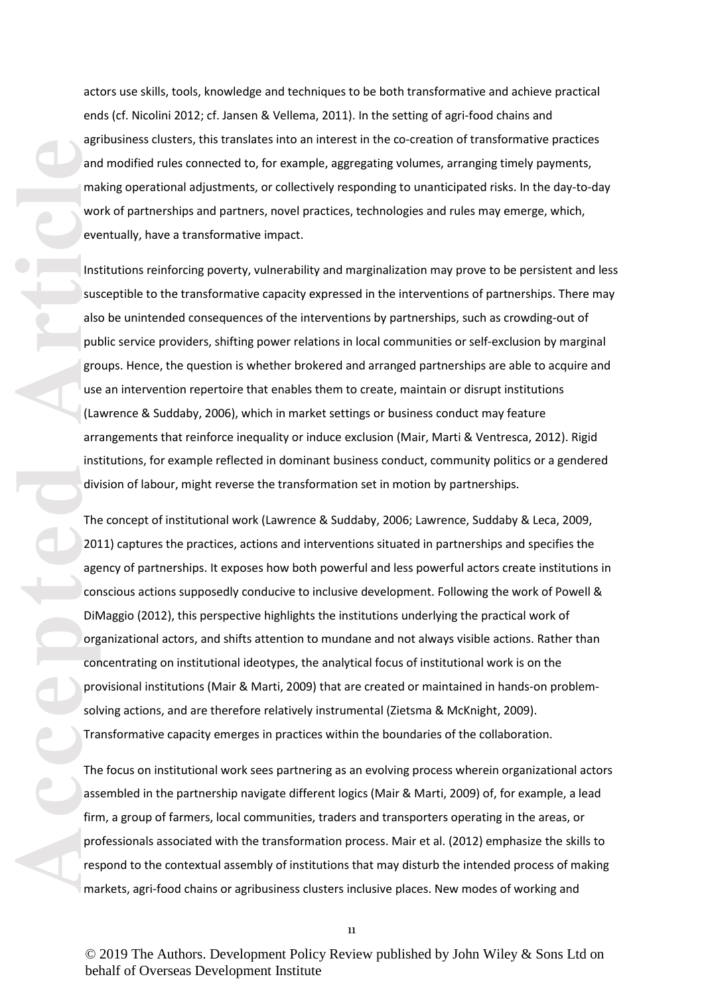actors use skills, tools, knowledge and techniques to be both transformative and achieve practical ends (cf. Nicolini 2012; cf. Jansen & Vellema, 2011). In the setting of agri-food chains and agribusiness clusters, this translates into an interest in the co-creation of transformative practices and modified rules connected to, for example, aggregating volumes, arranging timely payments, making operational adjustments, or collectively responding to unanticipated risks. In the day-to-day work of partnerships and partners, novel practices, technologies and rules may emerge, which, eventually, have a transformative impact.

Institutions reinforcing poverty, vulnerability and marginalization may prove to be persistent and less susceptible to the transformative capacity expressed in the interventions of partnerships. There may also be unintended consequences of the interventions by partnerships, such as crowding-out of public service providers, shifting power relations in local communities or self-exclusion by marginal groups. Hence, the question is whether brokered and arranged partnerships are able to acquire and use an intervention repertoire that enables them to create, maintain or disrupt institutions (Lawrence & Suddaby, 2006), which in market settings or business conduct may feature arrangements that reinforce inequality or induce exclusion (Mair, Marti & Ventresca, 2012). Rigid institutions, for example reflected in dominant business conduct, community politics or a gendered division of labour, might reverse the transformation set in motion by partnerships.

**Accepted Articles Incorporation**<br> **Article**<br> **Article**<br> **Article**<br> **Article**<br> **Article**<br> **Article**<br> **Article**<br> **Article**<br> **Article**<br> **Article**<br> **Article**<br> **Article**<br> **Article**<br> **Article**<br> **Article**<br> **Article**<br> **Article** The concept of institutional work (Lawrence & Suddaby, 2006; Lawrence, Suddaby & Leca, 2009, 2011) captures the practices, actions and interventions situated in partnerships and specifies the agency of partnerships. It exposes how both powerful and less powerful actors create institutions in conscious actions supposedly conducive to inclusive development. Following the work of Powell & DiMaggio (2012), this perspective highlights the institutions underlying the practical work of organizational actors, and shifts attention to mundane and not always visible actions. Rather than concentrating on institutional ideotypes, the analytical focus of institutional work is on the provisional institutions (Mair & Marti, 2009) that are created or maintained in hands-on problemsolving actions, and are therefore relatively instrumental (Zietsma & McKnight, 2009). Transformative capacity emerges in practices within the boundaries of the collaboration.

The focus on institutional work sees partnering as an evolving process wherein organizational actors assembled in the partnership navigate different logics (Mair & Marti, 2009) of, for example, a lead firm, a group of farmers, local communities, traders and transporters operating in the areas, or professionals associated with the transformation process. Mair et al. (2012) emphasize the skills to respond to the contextual assembly of institutions that may disturb the intended process of making markets, agri-food chains or agribusiness clusters inclusive places. New modes of working and

11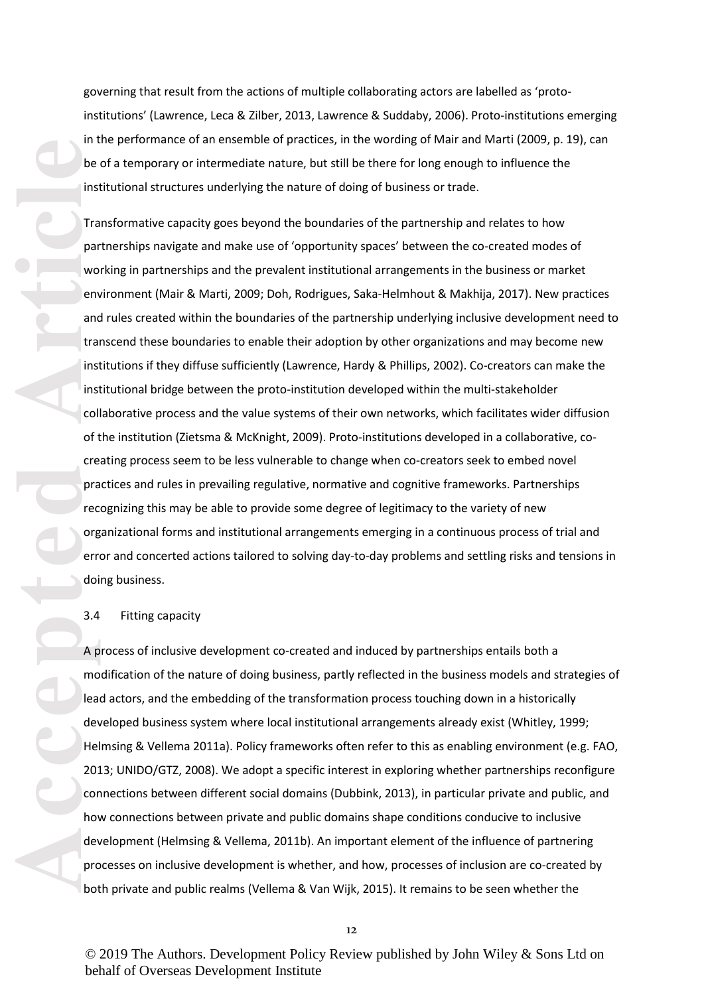governing that result from the actions of multiple collaborating actors are labelled as 'protoinstitutions' (Lawrence, Leca & Zilber, 2013, Lawrence & Suddaby, 2006). Proto-institutions emerging in the performance of an ensemble of practices, in the wording of Mair and Marti (2009, p. 19), can be of a temporary or intermediate nature, but still be there for long enough to influence the institutional structures underlying the nature of doing of business or trade.

**Article**<br> **Article**<br> **Article**<br> **Article**<br> **Article**<br> **Article**<br> **Article**<br> **Article**<br> **Article**<br> **Article**<br> **Article**<br> **Article**<br> **Article**<br> **Article**<br> **Article**<br> **Article**<br> **Article**<br> **Article**<br> **Article**<br> **Article**<br> **A** Transformative capacity goes beyond the boundaries of the partnership and relates to how partnerships navigate and make use of 'opportunity spaces' between the co-created modes of working in partnerships and the prevalent institutional arrangements in the business or market environment (Mair & Marti, 2009; Doh, Rodrigues, Saka-Helmhout & Makhija, 2017). New practices and rules created within the boundaries of the partnership underlying inclusive development need to transcend these boundaries to enable their adoption by other organizations and may become new institutions if they diffuse sufficiently (Lawrence, Hardy & Phillips, 2002). Co-creators can make the institutional bridge between the proto-institution developed within the multi-stakeholder collaborative process and the value systems of their own networks, which facilitates wider diffusion of the institution (Zietsma & McKnight, 2009). Proto-institutions developed in a collaborative, cocreating process seem to be less vulnerable to change when co-creators seek to embed novel practices and rules in prevailing regulative, normative and cognitive frameworks. Partnerships recognizing this may be able to provide some degree of legitimacy to the variety of new organizational forms and institutional arrangements emerging in a continuous process of trial and error and concerted actions tailored to solving day-to-day problems and settling risks and tensions in doing business.

### 3.4 Fitting capacity

A process of inclusive development co-created and induced by partnerships entails both a modification of the nature of doing business, partly reflected in the business models and strategies of lead actors, and the embedding of the transformation process touching down in a historically developed business system where local institutional arrangements already exist (Whitley, 1999; Helmsing & Vellema 2011a). Policy frameworks often refer to this as enabling environment (e.g. FAO, 2013; UNIDO/GTZ, 2008). We adopt a specific interest in exploring whether partnerships reconfigure connections between different social domains (Dubbink, 2013), in particular private and public, and how connections between private and public domains shape conditions conducive to inclusive development (Helmsing & Vellema, 2011b). An important element of the influence of partnering processes on inclusive development is whether, and how, processes of inclusion are co-created by both private and public realms (Vellema & Van Wijk, 2015). It remains to be seen whether the

12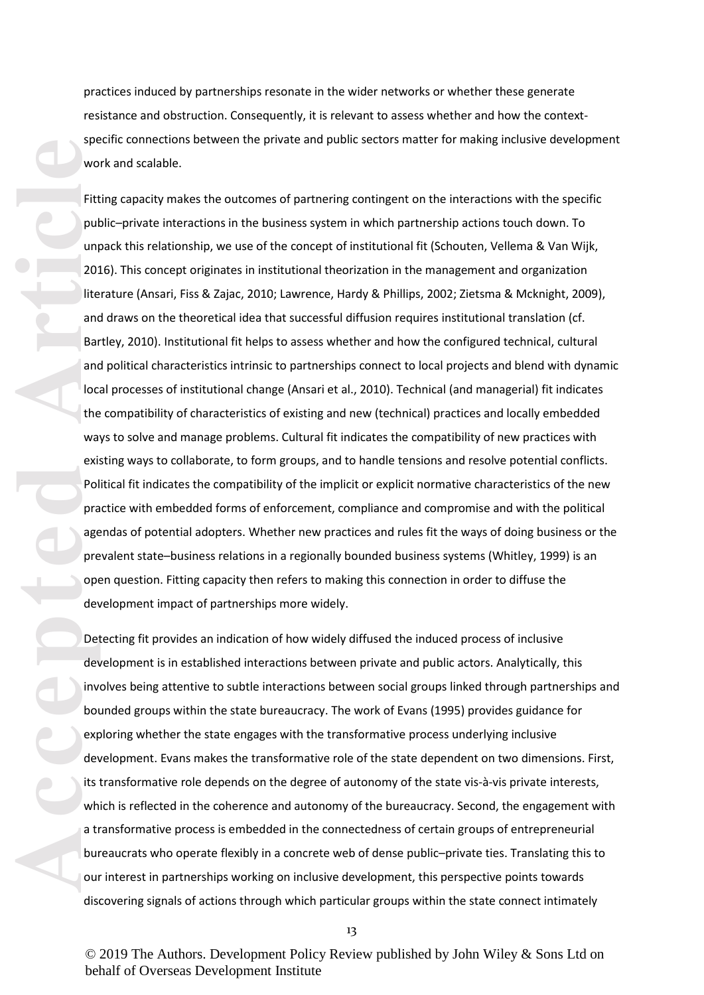practices induced by partnerships resonate in the wider networks or whether these generate resistance and obstruction. Consequently, it is relevant to assess whether and how the contextspecific connections between the private and public sectors matter for making inclusive development work and scalable.

**Accepted**<br> **Accepted**<br> **Article**<br> **Article**<br> **Article**<br> **Article**<br> **Article**<br> **Article**<br> **Article**<br> **Article**<br> **Article**<br> **Article**<br> **Article**<br> **Article**<br> **Article**<br> **Article**<br> **Article**<br> **Article**<br> **Article**<br> **Article**<br> Fitting capacity makes the outcomes of partnering contingent on the interactions with the specific public–private interactions in the business system in which partnership actions touch down. To unpack this relationship, we use of the concept of institutional fit (Schouten, Vellema & Van Wijk, 2016). This concept originates in institutional theorization in the management and organization literature (Ansari, Fiss & Zajac, 2010; Lawrence, Hardy & Phillips, 2002; Zietsma & Mcknight, 2009), and draws on the theoretical idea that successful diffusion requires institutional translation (cf. Bartley, 2010). Institutional fit helps to assess whether and how the configured technical, cultural and political characteristics intrinsic to partnerships connect to local projects and blend with dynamic local processes of institutional change (Ansari et al., 2010). Technical (and managerial) fit indicates the compatibility of characteristics of existing and new (technical) practices and locally embedded ways to solve and manage problems. Cultural fit indicates the compatibility of new practices with existing ways to collaborate, to form groups, and to handle tensions and resolve potential conflicts. Political fit indicates the compatibility of the implicit or explicit normative characteristics of the new practice with embedded forms of enforcement, compliance and compromise and with the political agendas of potential adopters. Whether new practices and rules fit the ways of doing business or the prevalent state–business relations in a regionally bounded business systems (Whitley, 1999) is an open question. Fitting capacity then refers to making this connection in order to diffuse the development impact of partnerships more widely.

Detecting fit provides an indication of how widely diffused the induced process of inclusive development is in established interactions between private and public actors. Analytically, this involves being attentive to subtle interactions between social groups linked through partnerships and bounded groups within the state bureaucracy. The work of Evans (1995) provides guidance for exploring whether the state engages with the transformative process underlying inclusive development. Evans makes the transformative role of the state dependent on two dimensions. First, its transformative role depends on the degree of autonomy of the state vis-à-vis private interests, which is reflected in the coherence and autonomy of the bureaucracy. Second, the engagement with a transformative process is embedded in the connectedness of certain groups of entrepreneurial bureaucrats who operate flexibly in a concrete web of dense public–private ties. Translating this to our interest in partnerships working on inclusive development, this perspective points towards discovering signals of actions through which particular groups within the state connect intimately

© 2019 The Authors. Development Policy Review published by John Wiley & Sons Ltd on behalf of Overseas Development Institute

13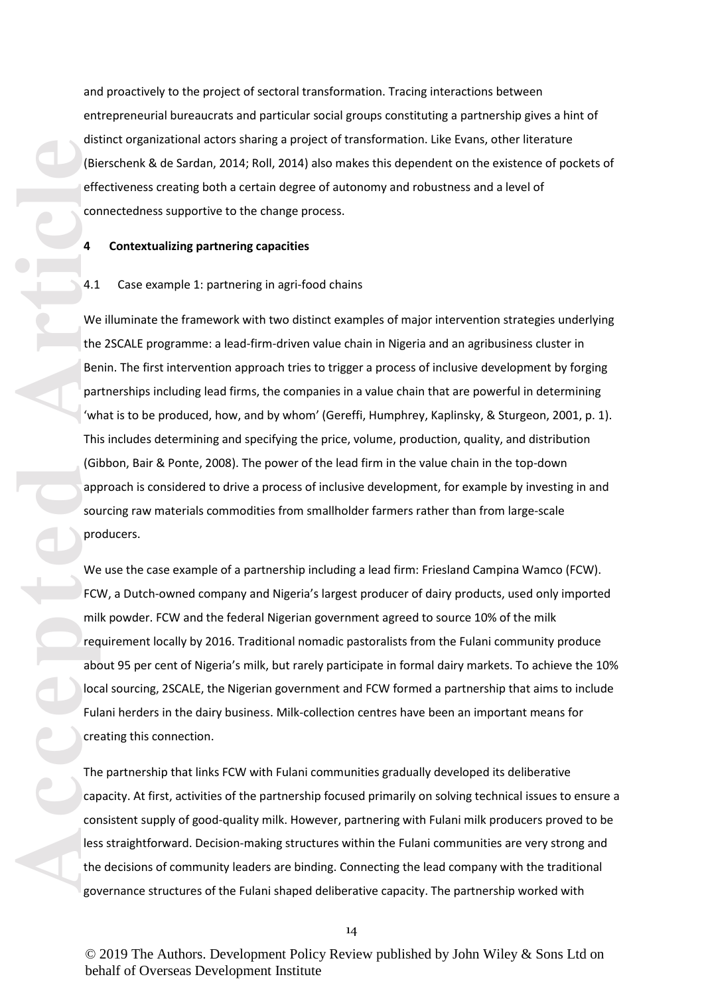and proactively to the project of sectoral transformation. Tracing interactions between entrepreneurial bureaucrats and particular social groups constituting a partnership gives a hint of distinct organizational actors sharing a project of transformation. Like Evans, other literature (Bierschenk & de Sardan, 2014; Roll, 2014) also makes this dependent on the existence of pockets of effectiveness creating both a certain degree of autonomy and robustness and a level of connectedness supportive to the change process.

### **4 Contextualizing partnering capacities**

#### 4.1 Case example 1: partnering in agri-food chains

**Accepted Article** We illuminate the framework with two distinct examples of major intervention strategies underlying the 2SCALE programme: a lead-firm-driven value chain in Nigeria and an agribusiness cluster in Benin. The first intervention approach tries to trigger a process of inclusive development by forging partnerships including lead firms, the companies in a value chain that are powerful in determining 'what is to be produced, how, and by whom' (Gereffi, Humphrey, Kaplinsky, & Sturgeon, 2001, p. 1). This includes determining and specifying the price, volume, production, quality, and distribution (Gibbon, Bair & Ponte, 2008). The power of the lead firm in the value chain in the top-down approach is considered to drive a process of inclusive development, for example by investing in and sourcing raw materials commodities from smallholder farmers rather than from large-scale producers.

We use the case example of a partnership including a lead firm: Friesland Campina Wamco (FCW). FCW, a Dutch-owned company and Nigeria's largest producer of dairy products, used only imported milk powder. FCW and the federal Nigerian government agreed to source 10% of the milk requirement locally by 2016. Traditional nomadic pastoralists from the Fulani community produce about 95 per cent of Nigeria's milk, but rarely participate in formal dairy markets. To achieve the 10% local sourcing, 2SCALE, the Nigerian government and FCW formed a partnership that aims to include Fulani herders in the dairy business. Milk-collection centres have been an important means for creating this connection.

The partnership that links FCW with Fulani communities gradually developed its deliberative capacity. At first, activities of the partnership focused primarily on solving technical issues to ensure a consistent supply of good-quality milk. However, partnering with Fulani milk producers proved to be less straightforward. Decision-making structures within the Fulani communities are very strong and the decisions of community leaders are binding. Connecting the lead company with the traditional governance structures of the Fulani shaped deliberative capacity. The partnership worked with

14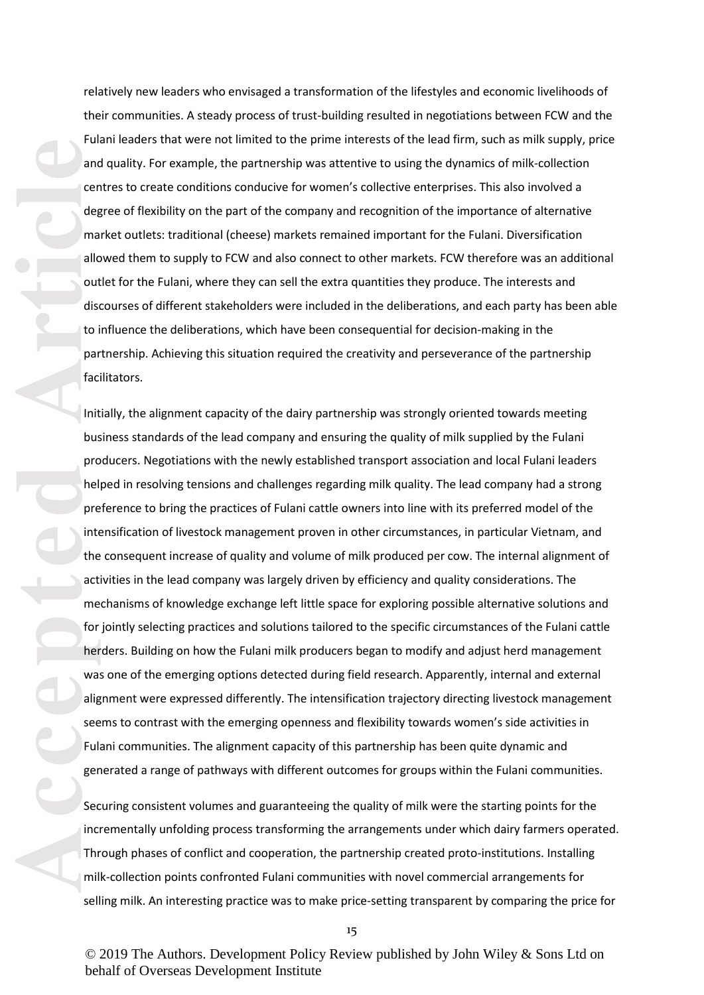relatively new leaders who envisaged a transformation of the lifestyles and economic livelihoods of their communities. A steady process of trust-building resulted in negotiations between FCW and the Fulani leaders that were not limited to the prime interests of the lead firm, such as milk supply, price and quality. For example, the partnership was attentive to using the dynamics of milk-collection centres to create conditions conducive for women's collective enterprises. This also involved a degree of flexibility on the part of the company and recognition of the importance of alternative market outlets: traditional (cheese) markets remained important for the Fulani. Diversification allowed them to supply to FCW and also connect to other markets. FCW therefore was an additional outlet for the Fulani, where they can sell the extra quantities they produce. The interests and discourses of different stakeholders were included in the deliberations, and each party has been able to influence the deliberations, which have been consequential for decision-making in the partnership. Achieving this situation required the creativity and perseverance of the partnership facilitators.

and ceres deg man allo out dis to i particle<br>and allo out dis to i particle<br>fact linit bus profect in the act meer for her was aligneed Full gere Sect incurrent mill mill Initially, the alignment capacity of the dairy partnership was strongly oriented towards meeting business standards of the lead company and ensuring the quality of milk supplied by the Fulani producers. Negotiations with the newly established transport association and local Fulani leaders helped in resolving tensions and challenges regarding milk quality. The lead company had a strong preference to bring the practices of Fulani cattle owners into line with its preferred model of the intensification of livestock management proven in other circumstances, in particular Vietnam, and the consequent increase of quality and volume of milk produced per cow. The internal alignment of activities in the lead company was largely driven by efficiency and quality considerations. The mechanisms of knowledge exchange left little space for exploring possible alternative solutions and for jointly selecting practices and solutions tailored to the specific circumstances of the Fulani cattle herders. Building on how the Fulani milk producers began to modify and adjust herd management was one of the emerging options detected during field research. Apparently, internal and external alignment were expressed differently. The intensification trajectory directing livestock management seems to contrast with the emerging openness and flexibility towards women's side activities in Fulani communities. The alignment capacity of this partnership has been quite dynamic and generated a range of pathways with different outcomes for groups within the Fulani communities.

Securing consistent volumes and guaranteeing the quality of milk were the starting points for the incrementally unfolding process transforming the arrangements under which dairy farmers operated. Through phases of conflict and cooperation, the partnership created proto-institutions. Installing milk-collection points confronted Fulani communities with novel commercial arrangements for selling milk. An interesting practice was to make price-setting transparent by comparing the price for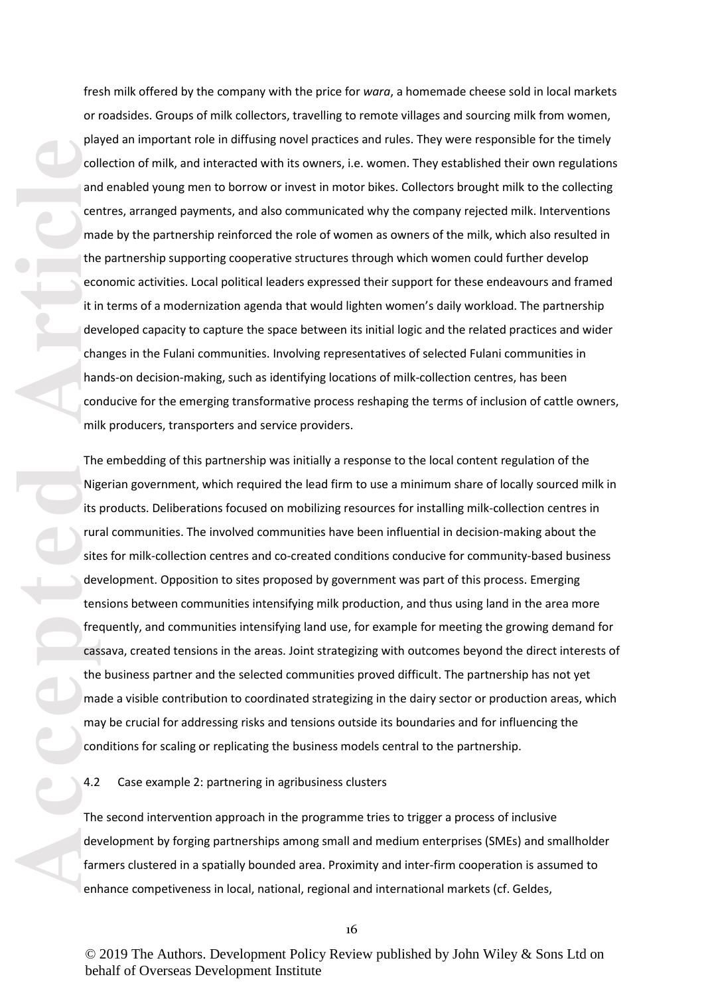fresh milk offered by the company with the price for *wara*, a homemade cheese sold in local markets or roadsides. Groups of milk collectors, travelling to remote villages and sourcing milk from women, played an important role in diffusing novel practices and rules. They were responsible for the timely collection of milk, and interacted with its owners, i.e. women. They established their own regulations and enabled young men to borrow or invest in motor bikes. Collectors brought milk to the collecting centres, arranged payments, and also communicated why the company rejected milk. Interventions made by the partnership reinforced the role of women as owners of the milk, which also resulted in the partnership supporting cooperative structures through which women could further develop economic activities. Local political leaders expressed their support for these endeavours and framed it in terms of a modernization agenda that would lighten women's daily workload. The partnership developed capacity to capture the space between its initial logic and the related practices and wider changes in the Fulani communities. Involving representatives of selected Fulani communities in hands-on decision-making, such as identifying locations of milk-collection centres, has been conducive for the emerging transformative process reshaping the terms of inclusion of cattle owners, milk producers, transporters and service providers.

and Collain Collain Collain Collain Collain Collain Collain Collain Collain Collain Collain Collain Collain Collain Collain Collain Collain Collain Collain Collain Collain Collain Collain Collain Collain Collain Collain Co The embedding of this partnership was initially a response to the local content regulation of the Nigerian government, which required the lead firm to use a minimum share of locally sourced milk in its products. Deliberations focused on mobilizing resources for installing milk-collection centres in rural communities. The involved communities have been influential in decision-making about the sites for milk-collection centres and co-created conditions conducive for community-based business development. Opposition to sites proposed by government was part of this process. Emerging tensions between communities intensifying milk production, and thus using land in the area more frequently, and communities intensifying land use, for example for meeting the growing demand for cassava, created tensions in the areas. Joint strategizing with outcomes beyond the direct interests of the business partner and the selected communities proved difficult. The partnership has not yet made a visible contribution to coordinated strategizing in the dairy sector or production areas, which may be crucial for addressing risks and tensions outside its boundaries and for influencing the conditions for scaling or replicating the business models central to the partnership.

4.2 Case example 2: partnering in agribusiness clusters

The second intervention approach in the programme tries to trigger a process of inclusive development by forging partnerships among small and medium enterprises (SMEs) and smallholder farmers clustered in a spatially bounded area. Proximity and inter-firm cooperation is assumed to enhance competiveness in local, national, regional and international markets (cf. Geldes,

16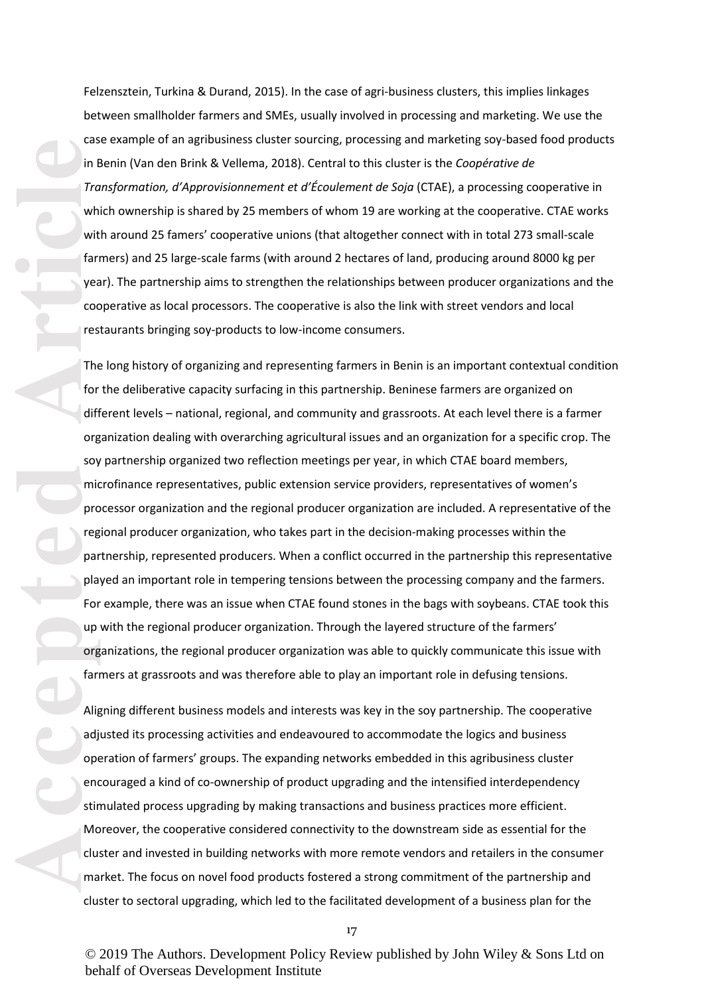Felzensztein, Turkina & Durand, 2015). In the case of agri-business clusters, this implies linkages between smallholder farmers and SMEs, usually involved in processing and marketing. We use the case example of an agribusiness cluster sourcing, processing and marketing soy-based food products in Benin (Van den Brink & Vellema, 2018). Central to this cluster is the *Coopérative de Transformation, d'Approvisionnement et d'Écoulement de Soja* (CTAE), a processing cooperative in which ownership is shared by 25 members of whom 19 are working at the cooperative. CTAE works with around 25 famers' cooperative unions (that altogether connect with in total 273 small-scale farmers) and 25 large-scale farms (with around 2 hectares of land, producing around 8000 kg per year). The partnership aims to strengthen the relationships between producer organizations and the cooperative as local processors. The cooperative is also the link with street vendors and local restaurants bringing soy-products to low-income consumers.

acception of the top of the top of the top of the top of the top of the top of the top of the top of the top of the clus man the clus man the clus man the clus man the clus man the clus man the clus man the clus man the cl The long history of organizing and representing farmers in Benin is an important contextual condition for the deliberative capacity surfacing in this partnership. Beninese farmers are organized on different levels – national, regional, and community and grassroots. At each level there is a farmer organization dealing with overarching agricultural issues and an organization for a specific crop. The soy partnership organized two reflection meetings per year, in which CTAE board members, microfinance representatives, public extension service providers, representatives of women's processor organization and the regional producer organization are included. A representative of the regional producer organization, who takes part in the decision-making processes within the partnership, represented producers. When a conflict occurred in the partnership this representative played an important role in tempering tensions between the processing company and the farmers. For example, there was an issue when CTAE found stones in the bags with soybeans. CTAE took this up with the regional producer organization. Through the layered structure of the farmers' organizations, the regional producer organization was able to quickly communicate this issue with farmers at grassroots and was therefore able to play an important role in defusing tensions.

Aligning different business models and interests was key in the soy partnership. The cooperative adjusted its processing activities and endeavoured to accommodate the logics and business operation of farmers' groups. The expanding networks embedded in this agribusiness cluster encouraged a kind of co-ownership of product upgrading and the intensified interdependency stimulated process upgrading by making transactions and business practices more efficient. Moreover, the cooperative considered connectivity to the downstream side as essential for the cluster and invested in building networks with more remote vendors and retailers in the consumer market. The focus on novel food products fostered a strong commitment of the partnership and cluster to sectoral upgrading, which led to the facilitated development of a business plan for the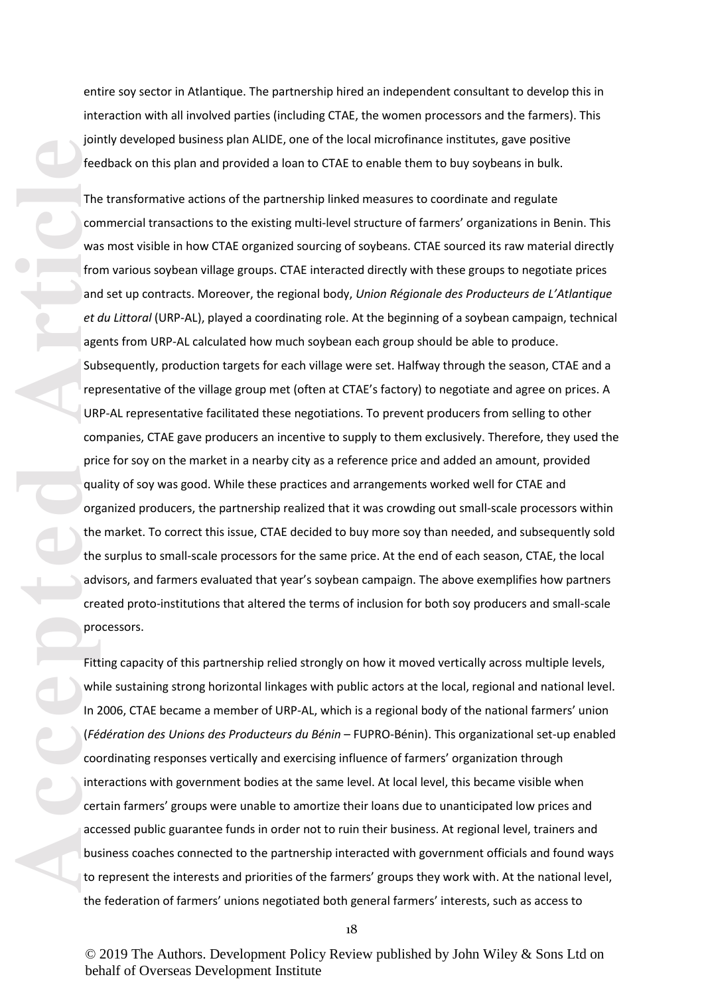entire soy sector in Atlantique. The partnership hired an independent consultant to develop this in interaction with all involved parties (including CTAE, the women processors and the farmers). This jointly developed business plan ALIDE, one of the local microfinance institutes, gave positive feedback on this plan and provided a loan to CTAE to enable them to buy soybeans in bulk.

For the corporation of the corporation of the day of the day of the day of the day of the day of the day of the day of the day of the day of the day of the day of the day of the day of the day of the day of the day of the The transformative actions of the partnership linked measures to coordinate and regulate commercial transactions to the existing multi-level structure of farmers' organizations in Benin. This was most visible in how CTAE organized sourcing of soybeans. CTAE sourced its raw material directly from various soybean village groups. CTAE interacted directly with these groups to negotiate prices and set up contracts. Moreover, the regional body, *Union Régionale des Producteurs de L'Atlantique et du Littoral* (URP-AL), played a coordinating role. At the beginning of a soybean campaign, technical agents from URP-AL calculated how much soybean each group should be able to produce. Subsequently, production targets for each village were set. Halfway through the season, CTAE and a representative of the village group met (often at CTAE's factory) to negotiate and agree on prices. A URP-AL representative facilitated these negotiations. To prevent producers from selling to other companies, CTAE gave producers an incentive to supply to them exclusively. Therefore, they used the price for soy on the market in a nearby city as a reference price and added an amount, provided quality of soy was good. While these practices and arrangements worked well for CTAE and organized producers, the partnership realized that it was crowding out small-scale processors within the market. To correct this issue, CTAE decided to buy more soy than needed, and subsequently sold the surplus to small-scale processors for the same price. At the end of each season, CTAE, the local advisors, and farmers evaluated that year's soybean campaign. The above exemplifies how partners created proto-institutions that altered the terms of inclusion for both soy producers and small-scale processors.

Fitting capacity of this partnership relied strongly on how it moved vertically across multiple levels, while sustaining strong horizontal linkages with public actors at the local, regional and national level. In 2006, CTAE became a member of URP-AL, which is a regional body of the national farmers' union (*Fédération des Unions des Producteurs du Bénin* – FUPRO-Bénin). This organizational set-up enabled coordinating responses vertically and exercising influence of farmers' organization through interactions with government bodies at the same level. At local level, this became visible when certain farmers' groups were unable to amortize their loans due to unanticipated low prices and accessed public guarantee funds in order not to ruin their business. At regional level, trainers and business coaches connected to the partnership interacted with government officials and found ways to represent the interests and priorities of the farmers' groups they work with. At the national level, the federation of farmers' unions negotiated both general farmers' interests, such as access to

18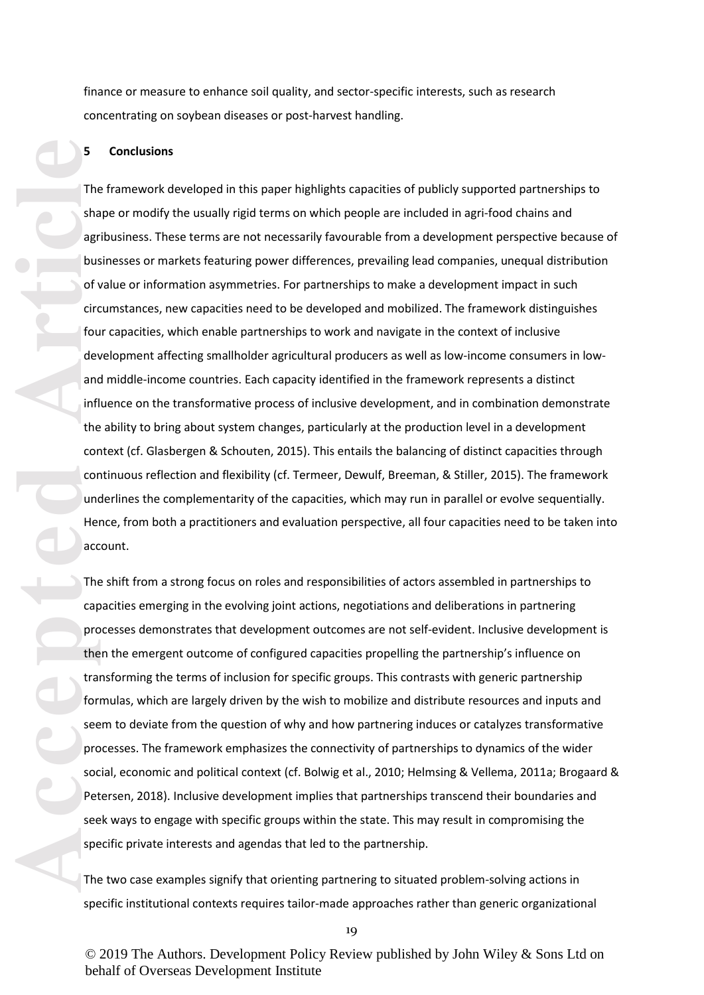finance or measure to enhance soil quality, and sector-specific interests, such as research concentrating on soybean diseases or post-harvest handling.

# **5 Conclusions**

**Accepted Article**<br> **Accepted Article**<br> **Article**<br> **Article**<br> **Article**<br> **Article**<br> **Article**<br> **Article**<br> **Article**<br> **Article**<br> **Article**<br> **Article**<br> **Article**<br> **Article**<br> **Article**<br> **Article**<br> **Article**<br> **Article**<br> **A** The framework developed in this paper highlights capacities of publicly supported partnerships to shape or modify the usually rigid terms on which people are included in agri-food chains and agribusiness. These terms are not necessarily favourable from a development perspective because of businesses or markets featuring power differences, prevailing lead companies, unequal distribution of value or information asymmetries. For partnerships to make a development impact in such circumstances, new capacities need to be developed and mobilized. The framework distinguishes four capacities, which enable partnerships to work and navigate in the context of inclusive development affecting smallholder agricultural producers as well as low-income consumers in lowand middle-income countries. Each capacity identified in the framework represents a distinct influence on the transformative process of inclusive development, and in combination demonstrate the ability to bring about system changes, particularly at the production level in a development context (cf. Glasbergen & Schouten, 2015). This entails the balancing of distinct capacities through continuous reflection and flexibility (cf. Termeer, Dewulf, Breeman, & Stiller, 2015). The framework underlines the complementarity of the capacities, which may run in parallel or evolve sequentially. Hence, from both a practitioners and evaluation perspective, all four capacities need to be taken into account.

The shift from a strong focus on roles and responsibilities of actors assembled in partnerships to capacities emerging in the evolving joint actions, negotiations and deliberations in partnering processes demonstrates that development outcomes are not self-evident. Inclusive development is then the emergent outcome of configured capacities propelling the partnership's influence on transforming the terms of inclusion for specific groups. This contrasts with generic partnership formulas, which are largely driven by the wish to mobilize and distribute resources and inputs and seem to deviate from the question of why and how partnering induces or catalyzes transformative processes. The framework emphasizes the connectivity of partnerships to dynamics of the wider social, economic and political context (cf. Bolwig et al., 2010; Helmsing & Vellema, 2011a; Brogaard & Petersen, 2018). Inclusive development implies that partnerships transcend their boundaries and seek ways to engage with specific groups within the state. This may result in compromising the specific private interests and agendas that led to the partnership.

The two case examples signify that orienting partnering to situated problem-solving actions in specific institutional contexts requires tailor-made approaches rather than generic organizational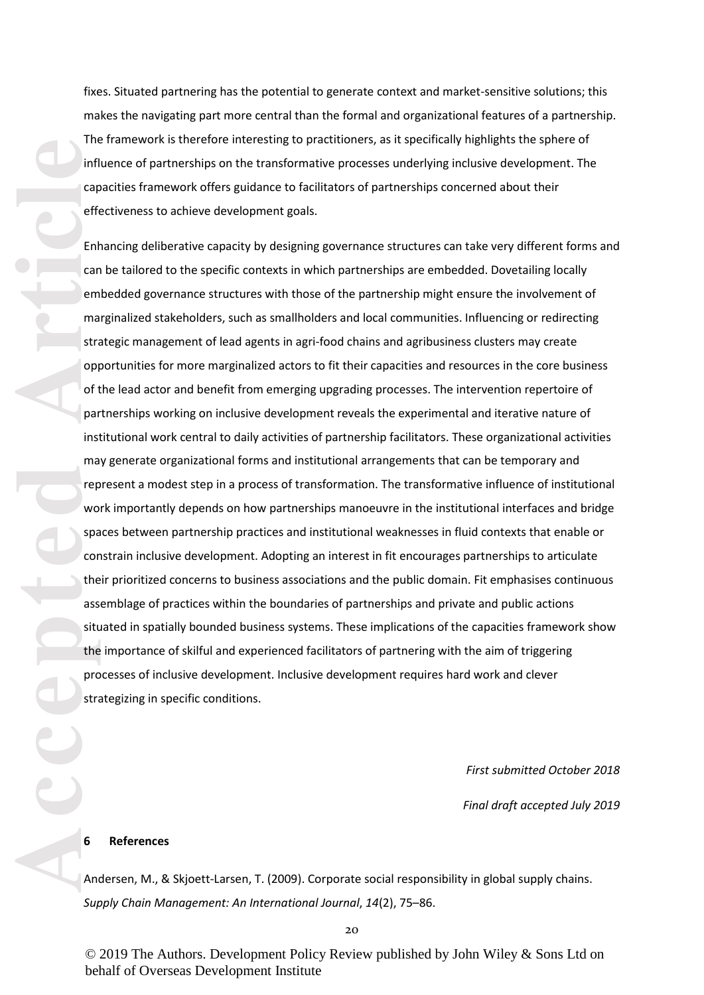**Accepted Article**<br> **Article**<br> **Article**<br> **Article**<br> **Article**<br> **Article**<br> **Article**<br> **Article**<br> **Article**<br> **Article**<br> **Article**<br> **Article**<br> **Article**<br> **Article** effectiveness to achieve development goals.

fixes. Situated partnering has the potential to generate context and market-sensitive solutions; this makes the navigating part more central than the formal and organizational features of a partnership. The framework is therefore interesting to practitioners, as it specifically highlights the sphere of influence of partnerships on the transformative processes underlying inclusive development. The capacities framework offers guidance to facilitators of partnerships concerned about their

Enhancing deliberative capacity by designing governance structures can take very different forms and can be tailored to the specific contexts in which partnerships are embedded. Dovetailing locally embedded governance structures with those of the partnership might ensure the involvement of marginalized stakeholders, such as smallholders and local communities. Influencing or redirecting strategic management of lead agents in agri-food chains and agribusiness clusters may create opportunities for more marginalized actors to fit their capacities and resources in the core business of the lead actor and benefit from emerging upgrading processes. The intervention repertoire of partnerships working on inclusive development reveals the experimental and iterative nature of institutional work central to daily activities of partnership facilitators. These organizational activities may generate organizational forms and institutional arrangements that can be temporary and represent a modest step in a process of transformation. The transformative influence of institutional work importantly depends on how partnerships manoeuvre in the institutional interfaces and bridge spaces between partnership practices and institutional weaknesses in fluid contexts that enable or constrain inclusive development. Adopting an interest in fit encourages partnerships to articulate their prioritized concerns to business associations and the public domain. Fit emphasises continuous assemblage of practices within the boundaries of partnerships and private and public actions situated in spatially bounded business systems. These implications of the capacities framework show the importance of skilful and experienced facilitators of partnering with the aim of triggering processes of inclusive development. Inclusive development requires hard work and clever strategizing in specific conditions.

*First submitted October 2018*

*Final draft accepted July 2019*

# **6 References**

Andersen, M., & Skjoett-Larsen, T. (2009). Corporate social responsibility in global supply chains. *Supply Chain Management: An International Journal*, *14*(2), 75–86.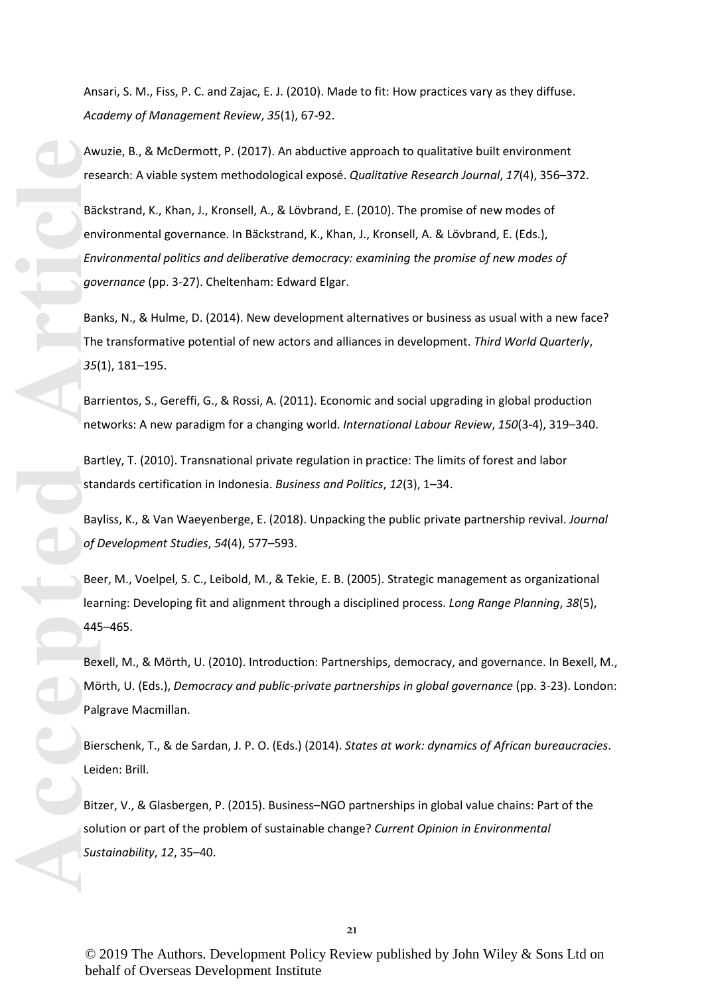Ansari, S. M., Fiss, P. C. and Zajac, E. J. (2010). Made to fit: How practices vary as they diffuse. *Academy of Management Review*, *35*(1), 67-92.

Awuzie, B., & McDermott, P. (2017). An abductive approach to qualitative built environment research: A viable system methodological exposé. *Qualitative Research Journal*, *17*(4), 356–372.

Aw res<br>
res<br>
Bäc<br>
en *En go*u<br>
Bar<br>
The 35(<br>
Bar<br>
The 35(<br>
Bar<br>
et Bar<br>
et Bar<br>
de lea<br>
445<br>
Bee<br>
lea<br>
445<br>
Bee<br>
lea<br>
45<br>
Bic<br>
Bee<br>
lea<br>
Mõ<br>
Pal<br>
Bee<br>
lea<br>
Mõ<br>
Bar<br>
Bee<br>
Mõ<br>
Bar<br>
Bee<br>
Mõ<br>
Bar<br>
Bar<br>
Bee<br>
Bar<br>
Bar<br>
Bar<br>
Bar<br> Bäckstrand, K., Khan, J., Kronsell, A., & Lövbrand, E. (2010). The promise of new modes of environmental governance. In Bäckstrand, K., Khan, J., Kronsell, A. & Lövbrand, E. (Eds.), *Environmental politics and deliberative democracy: examining the promise of new modes of governance* (pp. 3-27). Cheltenham: Edward Elgar.

Banks, N., & Hulme, D. (2014). New development alternatives or business as usual with a new face? The transformative potential of new actors and alliances in development. *Third World Quarterly*, *35*(1), 181–195.

Barrientos, S., Gereffi, G., & Rossi, A. (2011). Economic and social upgrading in global production networks: A new paradigm for a changing world. *International Labour Review*, *150*(3-4), 319–340.

Bartley, T. (2010). Transnational private regulation in practice: The limits of forest and labor standards certification in Indonesia. *Business and Politics*, *12*(3), 1–34.

Bayliss, K., & Van Waeyenberge, E. (2018). Unpacking the public private partnership revival. *Journal of Development Studies*, *54*(4), 577–593.

Beer, M., Voelpel, S. C., Leibold, M., & Tekie, E. B. (2005). Strategic management as organizational learning: Developing fit and alignment through a disciplined process. *Long Range Planning*, *38*(5), 445–465.

Bexell, M., & Mörth, U. (2010). Introduction: Partnerships, democracy, and governance. In Bexell, M., Mörth, U. (Eds.), *Democracy and public-private partnerships in global governance* (pp. 3-23). London: Palgrave Macmillan.

Bierschenk, T., & de Sardan, J. P. O. (Eds.) (2014). *States at work: dynamics of African bureaucracies*. Leiden: Brill.

Bitzer, V., & Glasbergen, P. (2015). Business–NGO partnerships in global value chains: Part of the solution or part of the problem of sustainable change? *Current Opinion in Environmental Sustainability*, *12*, 35–40.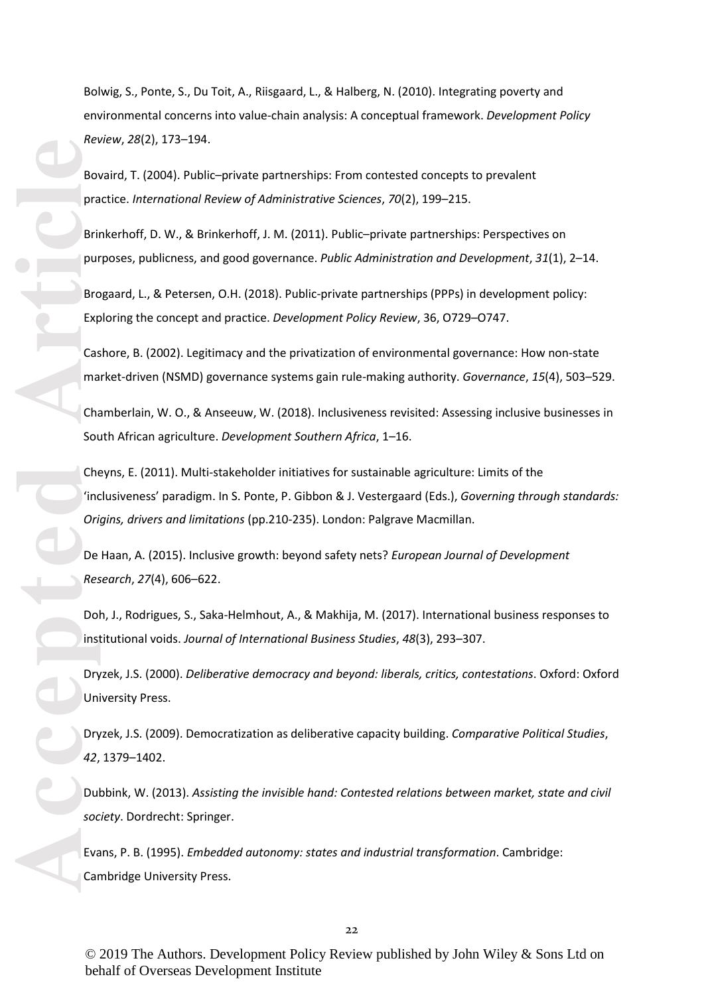Bolwig, S., Ponte, S., Du Toit, A., Riisgaard, L., & Halberg, N. (2010). Integrating poverty and environmental concerns into value-chain analysis: A conceptual framework. *Development Policy Review*, *28*(2), 173–194.

Bovaird, T. (2004). Public–private partnerships: From contested concepts to prevalent practice. *International Review of Administrative Sciences*, *70*(2), 199–215.

Brinkerhoff, D. W., & Brinkerhoff, J. M. (2011). Public–private partnerships: Perspectives on purposes, publicness, and good governance. *Public Administration and Development*, *31*(1), 2–14.

Brogaard, L., & Petersen, O.H. (2018). Public-private partnerships (PPPs) in development policy: Exploring the concept and practice. *Development Policy Review*, 36, O729–O747.

Cashore, B. (2002). Legitimacy and the privatization of environmental governance: How non-state market-driven (NSMD) governance systems gain rule-making authority. *Governance*, *15*(4), 503–529.

Chamberlain, W. O., & Anseeuw, W. (2018). Inclusiveness revisited: Assessing inclusive businesses in South African agriculture. *Development Southern Africa*, 1–16.

**Accepted Article**<br> **Article**<br> **Article**<br> **Article**<br> **Article**<br> **Article**<br> **Article**<br> **Article**<br> **Article**<br> **Article**<br> **Article**<br> **Article**<br> **Article**<br> **Article**<br> **Article**<br> **Article**<br> **Article**<br> **Article**<br> **Article**<br> **A** Cheyns, E. (2011). Multi-stakeholder initiatives for sustainable agriculture: Limits of the 'inclusiveness' paradigm. In S. Ponte, P. Gibbon & J. Vestergaard (Eds.), *Governing through standards: Origins, drivers and limitations* (pp.210-235). London: Palgrave Macmillan.

De Haan, A. (2015). Inclusive growth: beyond safety nets? *European Journal of Development Research*, *27*(4), 606–622.

Doh, J., Rodrigues, S., Saka-Helmhout, A., & Makhija, M. (2017). International business responses to institutional voids. *Journal of International Business Studies*, *48*(3), 293–307.

Dryzek, J.S. (2000). *Deliberative democracy and beyond: liberals, critics, contestations*. Oxford: Oxford University Press.

Dryzek, J.S. (2009). Democratization as deliberative capacity building. *Comparative Political Studies*, *42*, 1379–1402.

Dubbink, W. (2013). *Assisting the invisible hand: Contested relations between market, state and civil society*. Dordrecht: Springer.

Evans, P. B. (1995). *Embedded autonomy: states and industrial transformation*. Cambridge: Cambridge University Press.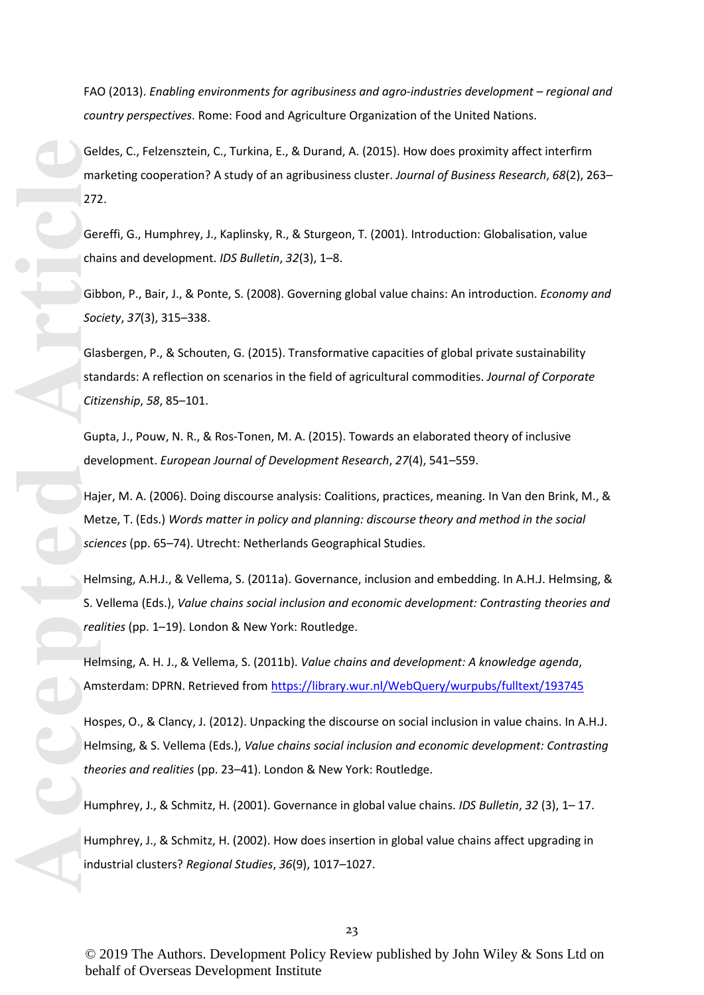FAO (2013). *Enabling environments for agribusiness and agro-industries development – regional and country perspectives*. Rome: Food and Agriculture Organization of the United Nations.

Geldes, C., Felzensztein, C., Turkina, E., & Durand, A. (2015). How does proximity affect interfirm marketing cooperation? A study of an agribusiness cluster. *Journal of Business Research*, *68*(2), 263– 272.

Gereffi, G., Humphrey, J., Kaplinsky, R., & Sturgeon, T. (2001). Introduction: Globalisation, value chains and development. *IDS Bulletin*, *32*(3), 1–8.

Gibbon, P., Bair, J., & Ponte, S. (2008). Governing global value chains: An introduction. *Economy and Society*, *37*(3), 315–338.

Glasbergen, P., & Schouten, G. (2015). Transformative capacities of global private sustainability standards: A reflection on scenarios in the field of agricultural commodities. *Journal of Corporate Citizenship*, *58*, 85–101.

Gupta, J., Pouw, N. R., & Ros-Tonen, M. A. (2015). Towards an elaborated theory of inclusive development. *European Journal of Development Research*, *27*(4), 541–559.

Hajer, M. A. (2006). Doing discourse analysis: Coalitions, practices, meaning. In Van den Brink, M., & Metze, T. (Eds.) *Words matter in policy and planning: discourse theory and method in the social sciences* (pp. 65–74). Utrecht: Netherlands Geographical Studies.

**Accepted Article** Helmsing, A.H.J., & Vellema, S. (2011a). Governance, inclusion and embedding. In A.H.J. Helmsing, & S. Vellema (Eds.), *Value chains social inclusion and economic development: Contrasting theories and realities* (pp. 1–19). London & New York: Routledge.

Helmsing, A. H. J., & Vellema, S. (2011b). *Value chains and development: A knowledge agenda*, Amsterdam: DPRN. Retrieved from https://library.wur.nl/WebQuery/wurpubs/fulltext/193745

Hospes, O., & Clancy, J. (2012). Unpacking the discourse on social inclusion in value chains. In A.H.J. Helmsing, & S. Vellema (Eds.), *Value chains social inclusion and economic development: Contrasting theories and realities* (pp. 23–41). London & New York: Routledge.

Humphrey, J., & Schmitz, H. (2001). Governance in global value chains. *IDS Bulletin*, *32* (3), 1– 17.

Humphrey, J., & Schmitz, H. (2002). How does insertion in global value chains affect upgrading in industrial clusters? *Regional Studies*, *36*(9), 1017–1027.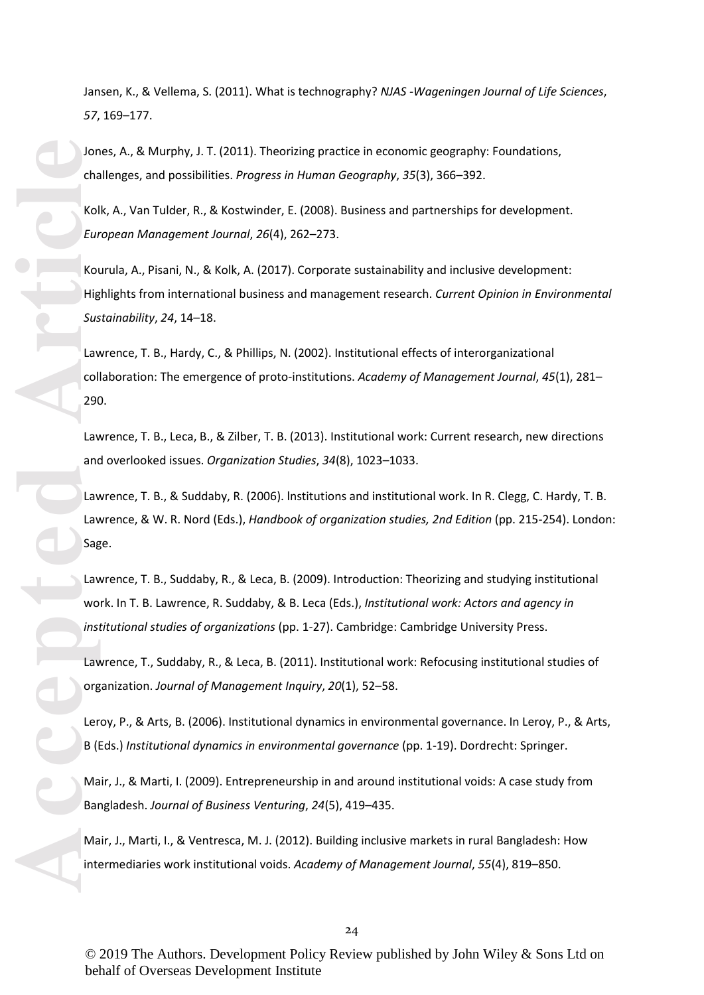Jansen, K., & Vellema, S. (2011). What is technography? *NJAS -Wageningen Journal of Life Sciences*, *57*, 169–177.

Jones, A., & Murphy, J. T. (2011). Theorizing practice in economic geography: Foundations, challenges, and possibilities. *Progress in Human Geography*, *35*(3), 366–392.

Kolk, A., Van Tulder, R., & Kostwinder, E. (2008). Business and partnerships for development. *European Management Journal*, *26*(4), 262–273.

Kourula, A., Pisani, N., & Kolk, A. (2017). Corporate sustainability and inclusive development: Highlights from international business and management research. *Current Opinion in Environmental Sustainability*, *24*, 14–18.

Lawrence, T. B., Hardy, C., & Phillips, N. (2002). Institutional effects of interorganizational collaboration: The emergence of proto-institutions. *Academy of Management Journal*, *45*(1), 281– 290.

Lawrence, T. B., Leca, B., & Zilber, T. B. (2013). Institutional work: Current research, new directions and overlooked issues. *Organization Studies*, *34*(8), 1023–1033.

Lawrence, T. B., & Suddaby, R. (2006). lnstitutions and institutional work. In R. Clegg, C. Hardy, T. B. Lawrence, & W. R. Nord (Eds.), *Handbook of organization studies, 2nd Edition* (pp. 215-254). London: Sage.

Lawrence, T. B., Suddaby, R., & Leca, B. (2009). Introduction: Theorizing and studying institutional work. In T. B. Lawrence, R. Suddaby, & B. Leca (Eds.), *Institutional work: Actors and agency in institutional studies of organizations* (pp. 1-27). Cambridge: Cambridge University Press.

Lawrence, T., Suddaby, R., & Leca, B. (2011). Institutional work: Refocusing institutional studies of organization. *Journal of Management Inquiry*, *20*(1), 52–58.

Leroy, P., & Arts, B. (2006). Institutional dynamics in environmental governance. In Leroy, P., & Arts, B (Eds.) *Institutional dynamics in environmental governance* (pp. 1-19). Dordrecht: Springer.

Mair, J., & Marti, I. (2009). Entrepreneurship in and around institutional voids: A case study from Bangladesh. *Journal of Business Venturing*, *24*(5), 419–435.

Mair, J., Marti, I., & Ventresca, M. J. (2012). Building inclusive markets in rural Bangladesh: How intermediaries work institutional voids. *Academy of Management Journal*, *55*(4), 819–850.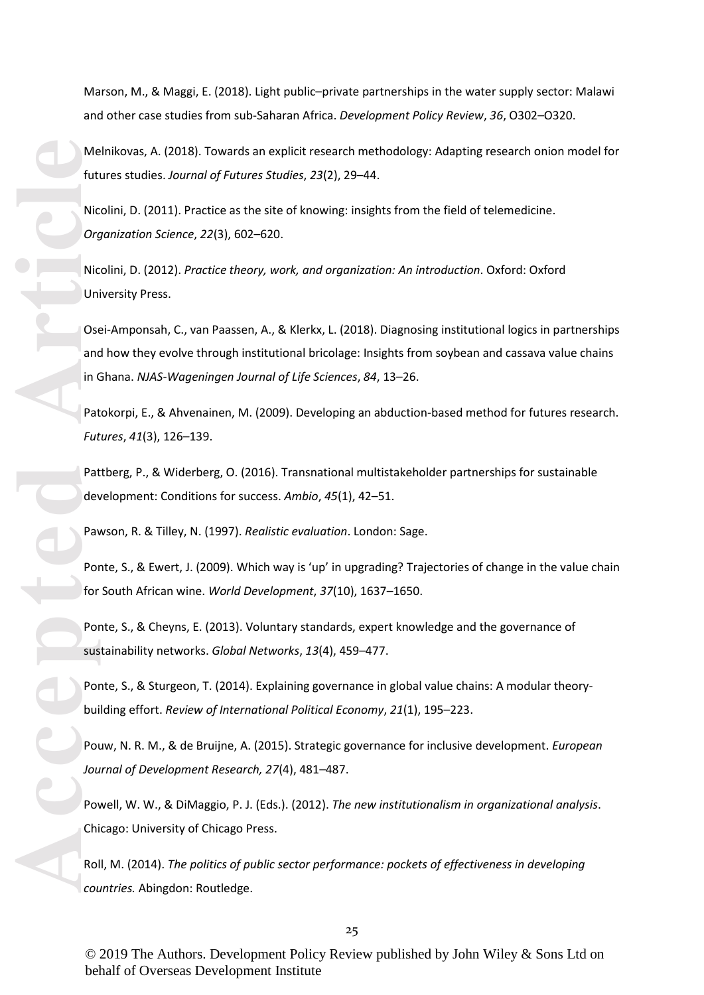Marson, M., & Maggi, E. (2018). Light public–private partnerships in the water supply sector: Malawi and other case studies from sub-Saharan Africa. *Development Policy Review*, *36*, O302–O320.

Melnikovas, A. (2018). Towards an explicit research methodology: Adapting research onion model for futures studies. *Journal of Futures Studies*, *23*(2), 29–44.

Nicolini, D. (2011). Practice as the site of knowing: insights from the field of telemedicine. *Organization Science*, *22*(3), 602–620.

Nicolini, D. (2012). *Practice theory, work, and organization: An introduction*. Oxford: Oxford University Press.

Osei-Amponsah, C., van Paassen, A., & Klerkx, L. (2018). Diagnosing institutional logics in partnerships and how they evolve through institutional bricolage: Insights from soybean and cassava value chains in Ghana. *NJAS-Wageningen Journal of Life Sciences*, *84*, 13–26.

Patokorpi, E., & Ahvenainen, M. (2009). Developing an abduction-based method for futures research. *Futures*, *41*(3), 126–139.

Pattberg, P., & Widerberg, O. (2016). Transnational multistakeholder partnerships for sustainable development: Conditions for success. *Ambio*, *45*(1), 42–51.

Pawson, R. & Tilley, N. (1997). *Realistic evaluation*. London: Sage.

Ponte, S., & Ewert, J. (2009). Which way is 'up' in upgrading? Trajectories of change in the value chain for South African wine. *World Development*, *37*(10), 1637–1650.

Ponte, S., & Cheyns, E. (2013). Voluntary standards, expert knowledge and the governance of sustainability networks. *Global Networks*, *13*(4), 459–477.

Ponte, S., & Sturgeon, T. (2014). Explaining governance in global value chains: A modular theorybuilding effort. *Review of International Political Economy*, *21*(1), 195–223.

Pouw, N. R. M., & de Bruijne, A. (2015). Strategic governance for inclusive development. *European Journal of Development Research, 27*(4), 481–487.

Powell, W. W., & DiMaggio, P. J. (Eds.). (2012). *The new institutionalism in organizational analysis*. Chicago: University of Chicago Press.

Roll, M. (2014). *The politics of public sector performance: pockets of effectiveness in developing countries.* Abingdon: Routledge.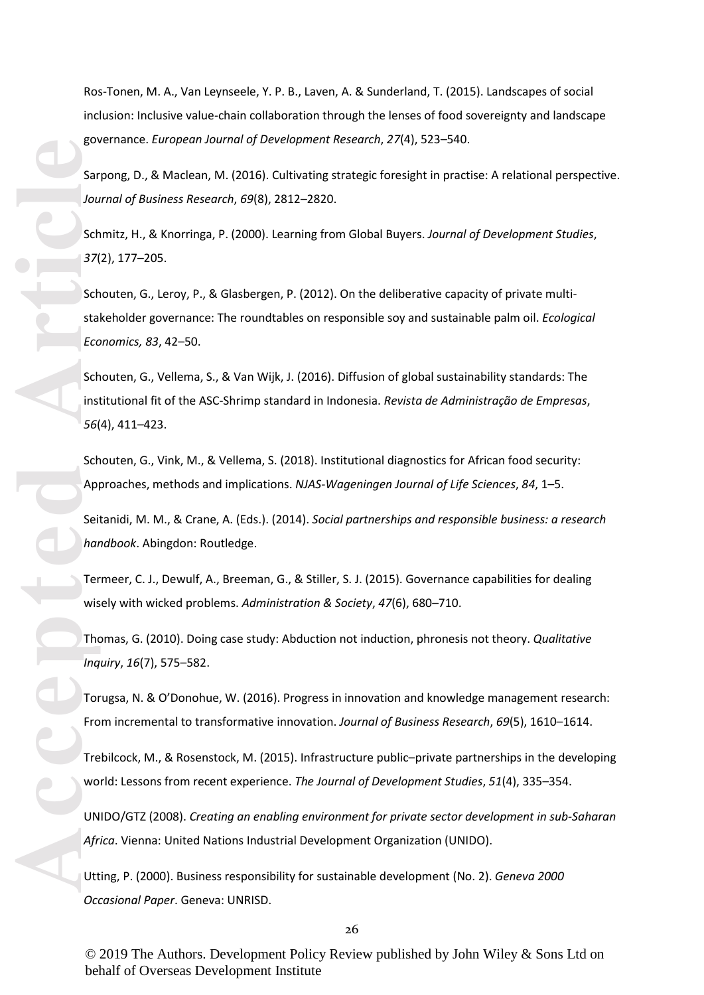Ros-Tonen, M. A., Van Leynseele, Y. P. B., Laven, A. & Sunderland, T. (2015). Landscapes of social inclusion: Inclusive value-chain collaboration through the lenses of food sovereignty and landscape governance. *European Journal of Development Research*, *27*(4), 523–540.

Sarpong, D., & Maclean, M. (2016). Cultivating strategic foresight in practise: A relational perspective. *Journal of Business Research*, *69*(8), 2812–2820.

Schmitz, H., & Knorringa, P. (2000). Learning from Global Buyers. *Journal of Development Studies*, *37*(2), 177–205.

Schouten, G., Leroy, P., & Glasbergen, P. (2012). On the deliberative capacity of private multistakeholder governance: The roundtables on responsible soy and sustainable palm oil. *Ecological Economics, 83*, 42–50.

**Access School Sand School School School School School School School School School School School School School School School School School School School School School School School School School School School School School** Schouten, G., Vellema, S., & Van Wijk, J. (2016). Diffusion of global sustainability standards: The institutional fit of the ASC-Shrimp standard in Indonesia. *Revista de Administração de Empresas*, *56*(4), 411–423.

Schouten, G., Vink, M., & Vellema, S. (2018). Institutional diagnostics for African food security: Approaches, methods and implications. *NJAS-Wageningen Journal of Life Sciences*, *84*, 1–5.

Seitanidi, M. M., & Crane, A. (Eds.). (2014). *Social partnerships and responsible business: a research handbook*. Abingdon: Routledge.

Termeer, C. J., Dewulf, A., Breeman, G., & Stiller, S. J. (2015). Governance capabilities for dealing wisely with wicked problems. *Administration & Society*, *47*(6), 680–710.

Thomas, G. (2010). Doing case study: Abduction not induction, phronesis not theory. *Qualitative Inquiry*, *16*(7), 575–582.

Torugsa, N. & O'Donohue, W. (2016). Progress in innovation and knowledge management research: From incremental to transformative innovation. *Journal of Business Research*, *69*(5), 1610–1614.

Trebilcock, M., & Rosenstock, M. (2015). Infrastructure public–private partnerships in the developing world: Lessons from recent experience. *The Journal of Development Studies*, *51*(4), 335–354.

UNIDO/GTZ (2008). *Creating an enabling environment for private sector development in sub-Saharan Africa*. Vienna: United Nations Industrial Development Organization (UNIDO).

Utting, P. (2000). Business responsibility for sustainable development (No. 2). *Geneva 2000 Occasional Paper*. Geneva: UNRISD.